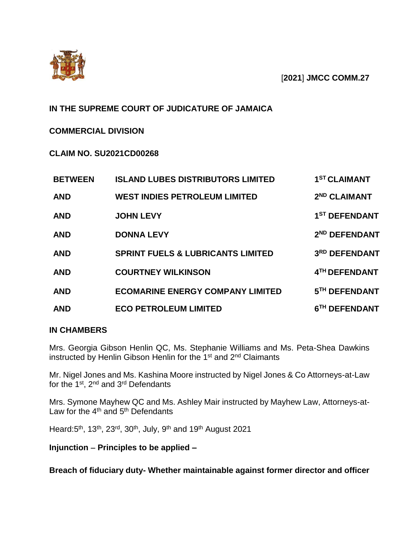

[**2021**] **JMCC COMM.27**

# **IN THE SUPREME COURT OF JUDICATURE OF JAMAICA**

# **COMMERCIAL DIVISION**

# **CLAIM NO. SU2021CD00268**

| <b>BETWEEN</b> | <b>ISLAND LUBES DISTRIBUTORS LIMITED</b>     | 1 <sup>ST</sup> CLAIMANT  |
|----------------|----------------------------------------------|---------------------------|
| <b>AND</b>     | <b>WEST INDIES PETROLEUM LIMITED</b>         | 2 <sup>ND</sup> CLAIMANT  |
| <b>AND</b>     | <b>JOHN LEVY</b>                             | 1 <sup>ST</sup> DEFENDANT |
| <b>AND</b>     | <b>DONNA LEVY</b>                            | 2 <sup>ND</sup> DEFENDANT |
| <b>AND</b>     | <b>SPRINT FUELS &amp; LUBRICANTS LIMITED</b> | 3RD DEFENDANT             |
| <b>AND</b>     | <b>COURTNEY WILKINSON</b>                    | 4TH DEFENDANT             |
| <b>AND</b>     | <b>ECOMARINE ENERGY COMPANY LIMITED</b>      | 5TH DEFENDANT             |
| <b>AND</b>     | <b>ECO PETROLEUM LIMITED</b>                 | 6TH DEFENDANT             |

# **IN CHAMBERS**

Mrs. Georgia Gibson Henlin QC, Ms. Stephanie Williams and Ms. Peta-Shea Dawkins instructed by Henlin Gibson Henlin for the 1st and 2nd Claimants

Mr. Nigel Jones and Ms. Kashina Moore instructed by Nigel Jones & Co Attorneys-at-Law for the 1st, 2nd and 3rd Defendants

Mrs. Symone Mayhew QC and Ms. Ashley Mair instructed by Mayhew Law, Attorneys-at-Law for the  $4<sup>th</sup>$  and  $5<sup>th</sup>$  Defendants

Heard:5<sup>th</sup>, 13<sup>th</sup>, 23<sup>rd</sup>, 30<sup>th</sup>, July, 9<sup>th</sup> and 19<sup>th</sup> August 2021

# **Injunction Principles to be applied –**

**Breach of fiduciary duty- Whether maintainable against former director and officer**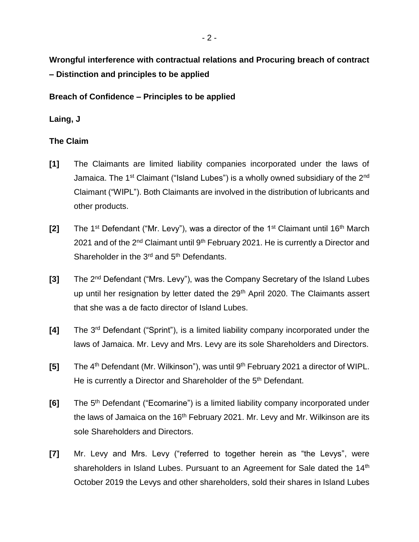**Wrongful interference with contractual relations and Procuring breach of contract – Distinction and principles to be applied** 

## **Breach of Confidence – Principles to be applied**

# **Laing, J**

# **The Claim**

- **[1]** The Claimants are limited liability companies incorporated under the laws of Jamaica. The 1<sup>st</sup> Claimant ("Island Lubes") is a wholly owned subsidiary of the 2<sup>nd</sup> Claimant ("WIPL"). Both Claimants are involved in the distribution of lubricants and other products.
- **[2]** The 1st Defendant ("Mr. Levy"), was a director of the 1st Claimant until 16th March 2021 and of the 2<sup>nd</sup> Claimant until 9<sup>th</sup> February 2021. He is currently a Director and Shareholder in the 3<sup>rd</sup> and 5<sup>th</sup> Defendants.
- **[3]** The 2nd Defendant ("Mrs. Levy"), was the Company Secretary of the Island Lubes up until her resignation by letter dated the 29<sup>th</sup> April 2020. The Claimants assert that she was a de facto director of Island Lubes.
- **[4]** The 3rd Defendant ("Sprint"), is a limited liability company incorporated under the laws of Jamaica. Mr. Levy and Mrs. Levy are its sole Shareholders and Directors.
- [5] The 4<sup>th</sup> Defendant (Mr. Wilkinson"), was until 9<sup>th</sup> February 2021 a director of WIPL. He is currently a Director and Shareholder of the 5<sup>th</sup> Defendant.
- **[6]** The 5th Defendant ("Ecomarine") is a limited liability company incorporated under the laws of Jamaica on the  $16<sup>th</sup>$  February 2021. Mr. Levy and Mr. Wilkinson are its sole Shareholders and Directors.
- **[7]** Mr. Levy and Mrs. Levy ("referred to together herein as "the Levys", were shareholders in Island Lubes. Pursuant to an Agreement for Sale dated the 14<sup>th</sup> October 2019 the Levys and other shareholders, sold their shares in Island Lubes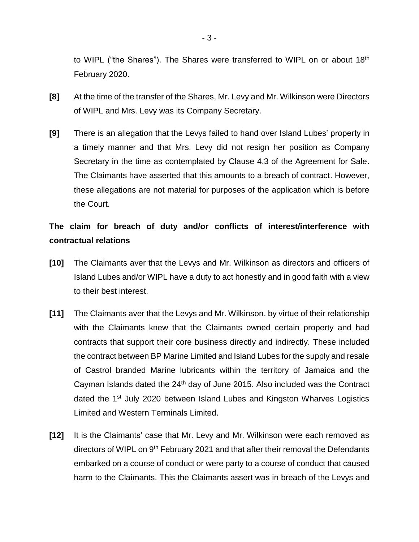to WIPL ("the Shares"). The Shares were transferred to WIPL on or about 18<sup>th</sup> February 2020.

- **[8]** At the time of the transfer of the Shares, Mr. Levy and Mr. Wilkinson were Directors of WIPL and Mrs. Levy was its Company Secretary.
- **[9]** There is an allegation that the Levys failed to hand over Island Lubes' property in a timely manner and that Mrs. Levy did not resign her position as Company Secretary in the time as contemplated by Clause 4.3 of the Agreement for Sale. The Claimants have asserted that this amounts to a breach of contract. However, these allegations are not material for purposes of the application which is before the Court.

# **The claim for breach of duty and/or conflicts of interest/interference with contractual relations**

- **[10]** The Claimants aver that the Levys and Mr. Wilkinson as directors and officers of Island Lubes and/or WIPL have a duty to act honestly and in good faith with a view to their best interest.
- **[11]** The Claimants aver that the Levys and Mr. Wilkinson, by virtue of their relationship with the Claimants knew that the Claimants owned certain property and had contracts that support their core business directly and indirectly. These included the contract between BP Marine Limited and Island Lubes for the supply and resale of Castrol branded Marine lubricants within the territory of Jamaica and the Cayman Islands dated the  $24<sup>th</sup>$  day of June 2015. Also included was the Contract dated the 1<sup>st</sup> July 2020 between Island Lubes and Kingston Wharves Logistics Limited and Western Terminals Limited.
- **[12]** It is the Claimants' case that Mr. Levy and Mr. Wilkinson were each removed as directors of WIPL on  $9<sup>th</sup>$  February 2021 and that after their removal the Defendants embarked on a course of conduct or were party to a course of conduct that caused harm to the Claimants. This the Claimants assert was in breach of the Levys and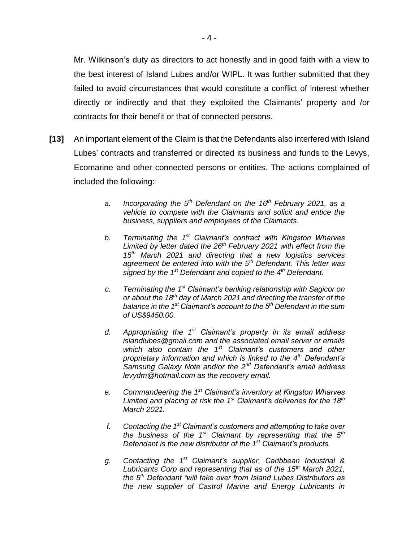Mr. Wilkinson's duty as directors to act honestly and in good faith with a view to the best interest of Island Lubes and/or WIPL. It was further submitted that they failed to avoid circumstances that would constitute a conflict of interest whether directly or indirectly and that they exploited the Claimants' property and /or contracts for their benefit or that of connected persons.

- **[13]** An important element of the Claim is that the Defendants also interfered with Island Lubes' contracts and transferred or directed its business and funds to the Levys, Ecomarine and other connected persons or entities. The actions complained of included the following:
	- *a. Incorporating the 5th Defendant on the 16th February 2021, as a vehicle to compete with the Claimants and solicit and entice the business, suppliers and employees of the Claimants.*
	- *b. Terminating the 1st Claimant's contract with Kingston Wharves Limited by letter dated the 26th February 2021 with effect from the 15th March 2021 and directing that a new logistics services agreement be entered into with the 5th Defendant. This letter was signed by the 1st Defendant and copied to the 4th Defendant.*
	- *c. Terminating the 1st Claimant's banking relationship with Sagicor on or about the 18th day of March 2021 and directing the transfer of the balance in the 1st Claimant's account to the 5th Defendant in the sum of US\$9450.00.*
	- *d. Appropriating the 1st Claimant's property in its email address [islandlubes@gmail.com](mailto:islandlubes@gmail.com) and the associated email server or emails which also contain the 1st Claimant's customers and other proprietary information and which is linked to the 4th Defendant's Samsung Galaxy Note and/or the 2nd Defendant's email address levydm@hotmail.com as the recovery email.*
	- *e. Commandeering the 1st Claimant's inventory at Kingston Wharves Limited and placing at risk the 1st Claimant's deliveries for the 18th March 2021.*
	- *f. Contacting the 1st Claimant's customers and attempting to take over the business of the 1st Claimant by representing that the 5th Defendant is the new distributor of the 1st Claimant's products.*
	- *g. Contacting the 1st Claimant's supplier, Caribbean Industrial & Lubricants Corp and representing that as of the 15th March 2021, the 5th Defendant "will take over from Island Lubes Distributors as the new supplier of Castrol Marine and Energy Lubricants in*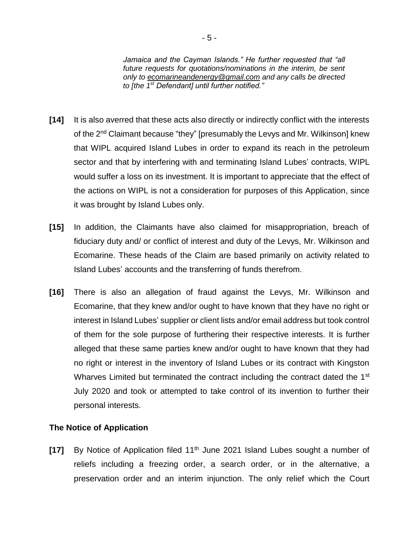*Jamaica and the Cayman Islands." He further requested that "all future requests for quotations/nominations in the interim, be sent only to [ecomarineandenergy@gmail.com](mailto:ecomarineandenergy@gmail.com) and any calls be directed to [the 1st Defendant] until further notified."* 

- **[14]** It is also averred that these acts also directly or indirectly conflict with the interests of the 2nd Claimant because "they" [presumably the Levys and Mr. Wilkinson] knew that WIPL acquired Island Lubes in order to expand its reach in the petroleum sector and that by interfering with and terminating Island Lubes' contracts, WIPL would suffer a loss on its investment. It is important to appreciate that the effect of the actions on WIPL is not a consideration for purposes of this Application, since it was brought by Island Lubes only.
- **[15]** In addition, the Claimants have also claimed for misappropriation, breach of fiduciary duty and/ or conflict of interest and duty of the Levys, Mr. Wilkinson and Ecomarine. These heads of the Claim are based primarily on activity related to Island Lubes' accounts and the transferring of funds therefrom.
- **[16]** There is also an allegation of fraud against the Levys, Mr. Wilkinson and Ecomarine, that they knew and/or ought to have known that they have no right or interest in Island Lubes' supplier or client lists and/or email address but took control of them for the sole purpose of furthering their respective interests. It is further alleged that these same parties knew and/or ought to have known that they had no right or interest in the inventory of Island Lubes or its contract with Kingston Wharves Limited but terminated the contract including the contract dated the  $1<sup>st</sup>$ July 2020 and took or attempted to take control of its invention to further their personal interests.

## **The Notice of Application**

**[17]** By Notice of Application filed 11th June 2021 Island Lubes sought a number of reliefs including a freezing order, a search order, or in the alternative, a preservation order and an interim injunction. The only relief which the Court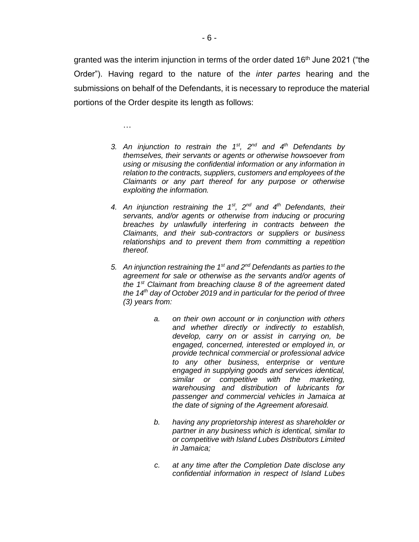granted was the interim injunction in terms of the order dated  $16<sup>th</sup>$  June 2021 ("the Order"). Having regard to the nature of the *inter partes* hearing and the submissions on behalf of the Defendants, it is necessary to reproduce the material portions of the Order despite its length as follows:

…

- *3. An injunction to restrain the 1st, 2nd and 4th Defendants by themselves, their servants or agents or otherwise howsoever from using or misusing the confidential information or any information in relation to the contracts, suppliers, customers and employees of the Claimants or any part thereof for any purpose or otherwise exploiting the information.*
- *4. An injunction restraining the 1st, 2nd and 4th Defendants, their servants, and/or agents or otherwise from inducing or procuring breaches by unlawfully interfering in contracts between the Claimants, and their sub-contractors or suppliers or business relationships and to prevent them from committing a repetition thereof.*
- *5. An injunction restraining the 1st and 2nd Defendants as parties to the agreement for sale or otherwise as the servants and/or agents of the 1st Claimant from breaching clause 8 of the agreement dated the 14th day of October 2019 and in particular for the period of three (3) years from:*
	- *a. on their own account or in conjunction with others and whether directly or indirectly to establish, develop, carry on or assist in carrying on, be engaged, concerned, interested or employed in, or provide technical commercial or professional advice to any other business, enterprise or venture engaged in supplying goods and services identical, similar or competitive with the marketing, warehousing and distribution of lubricants for passenger and commercial vehicles in Jamaica at the date of signing of the Agreement aforesaid.*
	- *b. having any proprietorship interest as shareholder or partner in any business which is identical, similar to or competitive with Island Lubes Distributors Limited in Jamaica;*
	- *c. at any time after the Completion Date disclose any confidential information in respect of Island Lubes*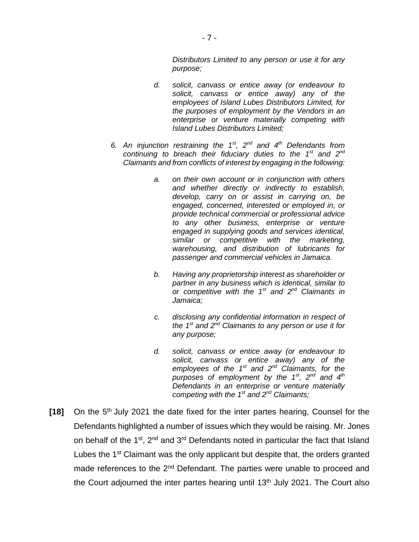*Distributors Limited to any person or use it for any purpose;*

- *d. solicit, canvass or entice away (or endeavour to solicit, canvass or entice away) any of the employees of Island Lubes Distributors Limited, for the purposes of employment by the Vendors in an enterprise or venture materially competing with Island Lubes Distributors Limited;*
- *6. An injunction restraining the 1st, 2nd and 4th Defendants from continuing to breach their fiduciary duties to the 1st and 2nd Claimants and from conflicts of interest by engaging in the following:*
	- *a. on their own account or in conjunction with others and whether directly or indirectly to establish, develop, carry on or assist in carrying on, be engaged, concerned, interested or employed in, or provide technical commercial or professional advice to any other business, enterprise or venture engaged in supplying goods and services identical, similar or competitive with the marketing, warehousing, and distribution of lubricants for passenger and commercial vehicles in Jamaica.*
	- *b. Having any proprietorship interest as shareholder or partner in any business which is identical, similar to or competitive with the 1st and 2nd Claimants in Jamaica;*
	- *c. disclosing any confidential information in respect of the 1st and 2nd Claimants to any person or use it for any purpose;*
	- *d. solicit, canvass or entice away (or endeavour to solicit, canvass or entice away) any of the employees of the 1st and 2nd Claimants, for the purposes of employment by the 1st, 2nd and 4th Defendants in an enterprise or venture materially competing with the 1st and 2nd Claimants;*
- **[18]** On the 5th July 2021 the date fixed for the inter partes hearing, Counsel for the Defendants highlighted a number of issues which they would be raising. Mr. Jones on behalf of the 1<sup>st</sup>, 2<sup>nd</sup> and 3<sup>rd</sup> Defendants noted in particular the fact that Island Lubes the 1<sup>st</sup> Claimant was the only applicant but despite that, the orders granted made references to the 2<sup>nd</sup> Defendant. The parties were unable to proceed and the Court adjourned the inter partes hearing until 13<sup>th</sup> July 2021. The Court also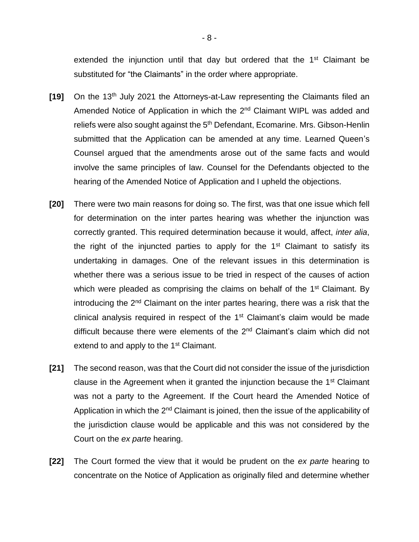extended the injunction until that day but ordered that the  $1<sup>st</sup>$  Claimant be substituted for "the Claimants" in the order where appropriate.

- **[19]** On the 13th July 2021 the Attorneys-at-Law representing the Claimants filed an Amended Notice of Application in which the 2<sup>nd</sup> Claimant WIPL was added and reliefs were also sought against the 5<sup>th</sup> Defendant, Ecomarine. Mrs. Gibson-Henlin submitted that the Application can be amended at any time. Learned Queen's Counsel argued that the amendments arose out of the same facts and would involve the same principles of law. Counsel for the Defendants objected to the hearing of the Amended Notice of Application and I upheld the objections.
- **[20]** There were two main reasons for doing so. The first, was that one issue which fell for determination on the inter partes hearing was whether the injunction was correctly granted. This required determination because it would, affect, *inter alia*, the right of the injuncted parties to apply for the  $1<sup>st</sup>$  Claimant to satisfy its undertaking in damages. One of the relevant issues in this determination is whether there was a serious issue to be tried in respect of the causes of action which were pleaded as comprising the claims on behalf of the 1<sup>st</sup> Claimant. By introducing the  $2<sup>nd</sup>$  Claimant on the inter partes hearing, there was a risk that the clinical analysis required in respect of the  $1<sup>st</sup>$  Claimant's claim would be made difficult because there were elements of the  $2<sup>nd</sup>$  Claimant's claim which did not extend to and apply to the 1<sup>st</sup> Claimant.
- **[21]** The second reason, was that the Court did not consider the issue of the jurisdiction clause in the Agreement when it granted the injunction because the 1st Claimant was not a party to the Agreement. If the Court heard the Amended Notice of Application in which the 2<sup>nd</sup> Claimant is joined, then the issue of the applicability of the jurisdiction clause would be applicable and this was not considered by the Court on the *ex parte* hearing.
- **[22]** The Court formed the view that it would be prudent on the *ex parte* hearing to concentrate on the Notice of Application as originally filed and determine whether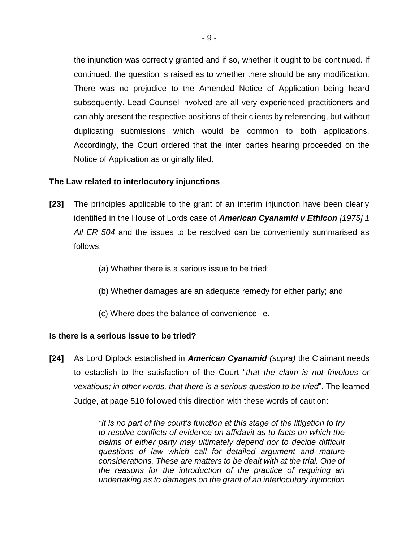the injunction was correctly granted and if so, whether it ought to be continued. If continued, the question is raised as to whether there should be any modification. There was no prejudice to the Amended Notice of Application being heard subsequently. Lead Counsel involved are all very experienced practitioners and can ably present the respective positions of their clients by referencing, but without duplicating submissions which would be common to both applications. Accordingly, the Court ordered that the inter partes hearing proceeded on the Notice of Application as originally filed.

# **The Law related to interlocutory injunctions**

- **[23]** The principles applicable to the grant of an interim injunction have been clearly identified in the House of Lords case of *American Cyanamid v Ethicon [1975] 1 All ER 504* and the issues to be resolved can be conveniently summarised as follows:
	- (a) Whether there is a serious issue to be tried;
	- (b) Whether damages are an adequate remedy for either party; and
	- (c) Where does the balance of convenience lie.

# **Is there is a serious issue to be tried?**

**[24]** As Lord Diplock established in *American Cyanamid (supra)* the Claimant needs to establish to the satisfaction of the Court "*that the claim is not frivolous or vexatious; in other words, that there is a serious question to be tried*". The learned Judge, at page 510 followed this direction with these words of caution:

> *"It is no part of the court's function at this stage of the litigation to try to resolve conflicts of evidence on affidavit as to facts on which the claims of either party may ultimately depend nor to decide difficult questions of law which call for detailed argument and mature considerations. These are matters to be dealt with at the trial. One of the reasons for the introduction of the practice of requiring an undertaking as to damages on the grant of an interlocutory injunction*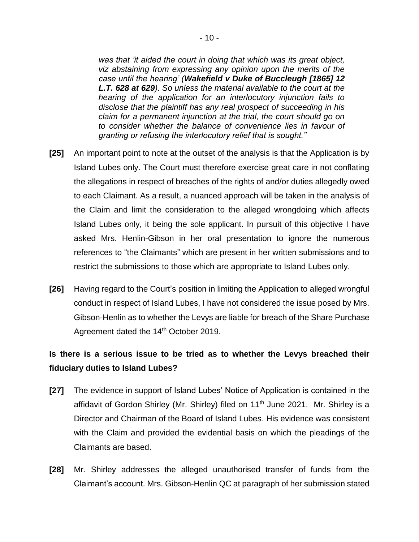*was that 'it aided the court in doing that which was its great object, viz abstaining from expressing any opinion upon the merits of the case until the hearing' (Wakefield v Duke of Buccleugh [1865] 12 L.T. 628 at 629). So unless the material available to the court at the hearing of the application for an interlocutory injunction fails to disclose that the plaintiff has any real prospect of succeeding in his claim for a permanent injunction at the trial, the court should go on to consider whether the balance of convenience lies in favour of granting or refusing the interlocutory relief that is sought."*

- **[25]** An important point to note at the outset of the analysis is that the Application is by Island Lubes only. The Court must therefore exercise great care in not conflating the allegations in respect of breaches of the rights of and/or duties allegedly owed to each Claimant. As a result, a nuanced approach will be taken in the analysis of the Claim and limit the consideration to the alleged wrongdoing which affects Island Lubes only, it being the sole applicant. In pursuit of this objective I have asked Mrs. Henlin-Gibson in her oral presentation to ignore the numerous references to "the Claimants" which are present in her written submissions and to restrict the submissions to those which are appropriate to Island Lubes only.
- **[26]** Having regard to the Court's position in limiting the Application to alleged wrongful conduct in respect of Island Lubes, I have not considered the issue posed by Mrs. Gibson-Henlin as to whether the Levys are liable for breach of the Share Purchase Agreement dated the 14<sup>th</sup> October 2019.

# **Is there is a serious issue to be tried as to whether the Levys breached their fiduciary duties to Island Lubes?**

- **[27]** The evidence in support of Island Lubes' Notice of Application is contained in the affidavit of Gordon Shirley (Mr. Shirley) filed on 11<sup>th</sup> June 2021. Mr. Shirley is a Director and Chairman of the Board of Island Lubes. His evidence was consistent with the Claim and provided the evidential basis on which the pleadings of the Claimants are based.
- **[28]** Mr. Shirley addresses the alleged unauthorised transfer of funds from the Claimant's account. Mrs. Gibson-Henlin QC at paragraph of her submission stated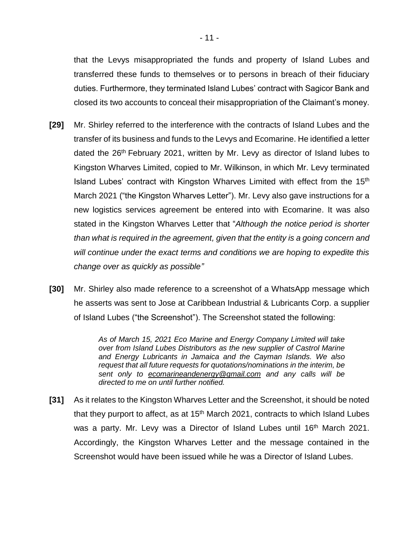that the Levys misappropriated the funds and property of Island Lubes and transferred these funds to themselves or to persons in breach of their fiduciary duties. Furthermore, they terminated Island Lubes' contract with Sagicor Bank and closed its two accounts to conceal their misappropriation of the Claimant's money.

- **[29]** Mr. Shirley referred to the interference with the contracts of Island Lubes and the transfer of its business and funds to the Levys and Ecomarine. He identified a letter dated the 26<sup>th</sup> February 2021, written by Mr. Levy as director of Island lubes to Kingston Wharves Limited, copied to Mr. Wilkinson, in which Mr. Levy terminated Island Lubes' contract with Kingston Wharves Limited with effect from the 15<sup>th</sup> March 2021 ("the Kingston Wharves Letter"). Mr. Levy also gave instructions for a new logistics services agreement be entered into with Ecomarine. It was also stated in the Kingston Wharves Letter that "*Although the notice period is shorter than what is required in the agreement, given that the entity is a going concern and will continue under the exact terms and conditions we are hoping to expedite this change over as quickly as possible"*
- **[30]** Mr. Shirley also made reference to a screenshot of a WhatsApp message which he asserts was sent to Jose at Caribbean Industrial & Lubricants Corp. a supplier of Island Lubes ("the Screenshot"). The Screenshot stated the following:

*As of March 15, 2021 Eco Marine and Energy Company Limited will take over from Island Lubes Distributors as the new supplier of Castrol Marine and Energy Lubricants in Jamaica and the Cayman Islands. We also request that all future requests for quotations/nominations in the interim, be sent only to [ecomarineandenergy@gmail.com](mailto:ecomarineandenergy@gmail.com) and any calls will be directed to me on until further notified.*

**[31]** As it relates to the Kingston Wharves Letter and the Screenshot, it should be noted that they purport to affect, as at  $15<sup>th</sup>$  March 2021, contracts to which Island Lubes was a party. Mr. Levy was a Director of Island Lubes until 16<sup>th</sup> March 2021. Accordingly, the Kingston Wharves Letter and the message contained in the Screenshot would have been issued while he was a Director of Island Lubes.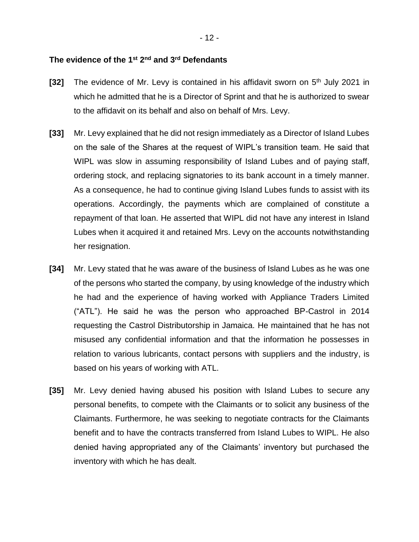## **The evidence of the 1st 2 nd and 3rd Defendants**

- **[32]** The evidence of Mr. Levy is contained in his affidavit sworn on 5<sup>th</sup> July 2021 in which he admitted that he is a Director of Sprint and that he is authorized to swear to the affidavit on its behalf and also on behalf of Mrs. Levy.
- **[33]** Mr. Levy explained that he did not resign immediately as a Director of Island Lubes on the sale of the Shares at the request of WIPL's transition team. He said that WIPL was slow in assuming responsibility of Island Lubes and of paying staff, ordering stock, and replacing signatories to its bank account in a timely manner. As a consequence, he had to continue giving Island Lubes funds to assist with its operations. Accordingly, the payments which are complained of constitute a repayment of that loan. He asserted that WIPL did not have any interest in Island Lubes when it acquired it and retained Mrs. Levy on the accounts notwithstanding her resignation.
- **[34]** Mr. Levy stated that he was aware of the business of Island Lubes as he was one of the persons who started the company, by using knowledge of the industry which he had and the experience of having worked with Appliance Traders Limited ("ATL"). He said he was the person who approached BP-Castrol in 2014 requesting the Castrol Distributorship in Jamaica. He maintained that he has not misused any confidential information and that the information he possesses in relation to various lubricants, contact persons with suppliers and the industry, is based on his years of working with ATL.
- **[35]** Mr. Levy denied having abused his position with Island Lubes to secure any personal benefits, to compete with the Claimants or to solicit any business of the Claimants. Furthermore, he was seeking to negotiate contracts for the Claimants benefit and to have the contracts transferred from Island Lubes to WIPL. He also denied having appropriated any of the Claimants' inventory but purchased the inventory with which he has dealt.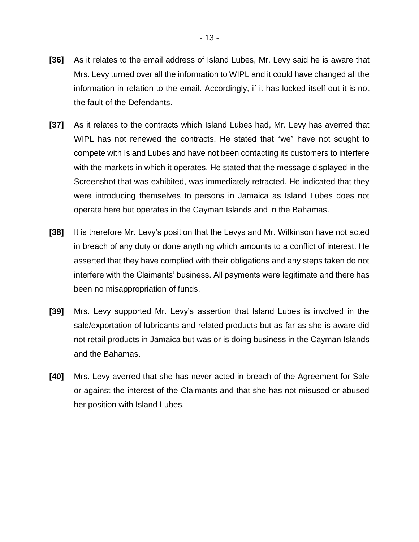- **[36]** As it relates to the email address of Island Lubes, Mr. Levy said he is aware that Mrs. Levy turned over all the information to WIPL and it could have changed all the information in relation to the email. Accordingly, if it has locked itself out it is not the fault of the Defendants.
- **[37]** As it relates to the contracts which Island Lubes had, Mr. Levy has averred that WIPL has not renewed the contracts. He stated that "we" have not sought to compete with Island Lubes and have not been contacting its customers to interfere with the markets in which it operates. He stated that the message displayed in the Screenshot that was exhibited, was immediately retracted. He indicated that they were introducing themselves to persons in Jamaica as Island Lubes does not operate here but operates in the Cayman Islands and in the Bahamas.
- **[38]** It is therefore Mr. Levy's position that the Levys and Mr. Wilkinson have not acted in breach of any duty or done anything which amounts to a conflict of interest. He asserted that they have complied with their obligations and any steps taken do not interfere with the Claimants' business. All payments were legitimate and there has been no misappropriation of funds.
- **[39]** Mrs. Levy supported Mr. Levy's assertion that Island Lubes is involved in the sale/exportation of lubricants and related products but as far as she is aware did not retail products in Jamaica but was or is doing business in the Cayman Islands and the Bahamas.
- **[40]** Mrs. Levy averred that she has never acted in breach of the Agreement for Sale or against the interest of the Claimants and that she has not misused or abused her position with Island Lubes.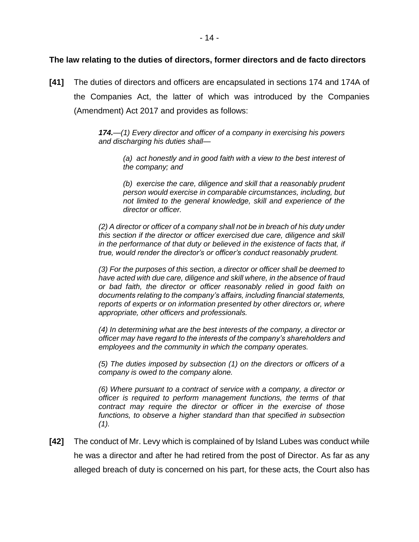## **The law relating to the duties of directors, former directors and de facto directors**

**[41]** The duties of directors and officers are encapsulated in sections 174 and 174A of the Companies Act, the latter of which was introduced by the Companies (Amendment) Act 2017 and provides as follows:

> *174.—(1) Every director and officer of a company in exercising his powers and discharging his duties shall—*

*(a) act honestly and in good faith with a view to the best interest of the company; and* 

*(b) exercise the care, diligence and skill that a reasonably prudent person would exercise in comparable circumstances, including, but not limited to the general knowledge, skill and experience of the director or officer.* 

*(2) A director or officer of a company shall not be in breach of his duty under this section if the director or officer exercised due care, diligence and skill in the performance of that duty or believed in the existence of facts that, if true, would render the director's or officer's conduct reasonably prudent.* 

*(3) For the purposes of this section, a director or officer shall be deemed to have acted with due care, diligence and skill where, in the absence of fraud or bad faith, the director or officer reasonably relied in good faith on documents relating to the company's affairs, including financial statements, reports of experts or on information presented by other directors or, where appropriate, other officers and professionals.* 

*(4) In determining what are the best interests of the company, a director or officer may have regard to the interests of the company's shareholders and employees and the community in which the company operates.* 

*(5) The duties imposed by subsection (1) on the directors or officers of a company is owed to the company alone.* 

*(6) Where pursuant to a contract of service with a company, a director or officer is required to perform management functions, the terms of that contract may require the director or officer in the exercise of those functions, to observe a higher standard than that specified in subsection (1).*

**[42]** The conduct of Mr. Levy which is complained of by Island Lubes was conduct while he was a director and after he had retired from the post of Director. As far as any alleged breach of duty is concerned on his part, for these acts, the Court also has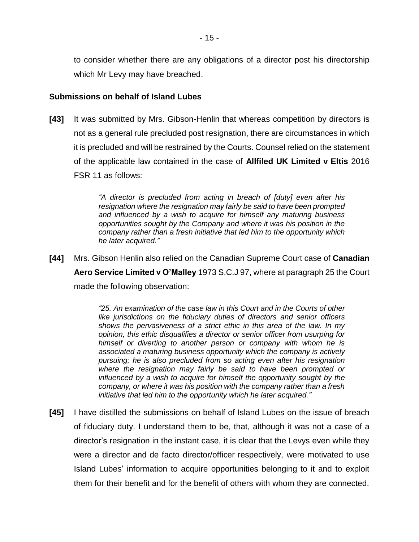to consider whether there are any obligations of a director post his directorship which Mr Levy may have breached.

## **Submissions on behalf of Island Lubes**

**[43]** It was submitted by Mrs. Gibson-Henlin that whereas competition by directors is not as a general rule precluded post resignation, there are circumstances in which it is precluded and will be restrained by the Courts. Counsel relied on the statement of the applicable law contained in the case of **Allfiled UK Limited v Eltis** 2016 FSR 11 as follows:

> *"A director is precluded from acting in breach of [duty] even after his resignation where the resignation may fairly be said to have been prompted and influenced by a wish to acquire for himself any maturing business opportunities sought by the Company and where it was his position in the company rather than a fresh initiative that led him to the opportunity which he later acquired."*

**[44]** Mrs. Gibson Henlin also relied on the Canadian Supreme Court case of **Canadian Aero Service Limited v O'Malley** 1973 S.C.J 97, where at paragraph 25 the Court made the following observation:

> *"25. An examination of the case law in this Court and in the Courts of other like jurisdictions on the fiduciary duties of directors and senior officers shows the pervasiveness of a strict ethic in this area of the law. In my opinion, this ethic disqualifies a director or senior officer from usurping for himself or diverting to another person or company with whom he is associated a maturing business opportunity which the company is actively pursuing; he is also precluded from so acting even after his resignation where the resignation may fairly be said to have been prompted or influenced by a wish to acquire for himself the opportunity sought by the company, or where it was his position with the company rather than a fresh initiative that led him to the opportunity which he later acquired."*

**[45]** I have distilled the submissions on behalf of Island Lubes on the issue of breach of fiduciary duty. I understand them to be, that, although it was not a case of a director's resignation in the instant case, it is clear that the Levys even while they were a director and de facto director/officer respectively, were motivated to use Island Lubes' information to acquire opportunities belonging to it and to exploit them for their benefit and for the benefit of others with whom they are connected.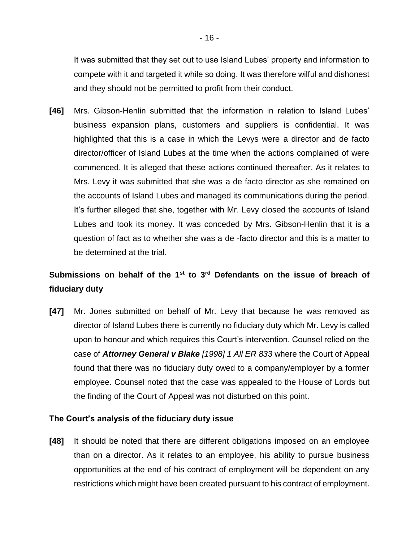It was submitted that they set out to use Island Lubes' property and information to compete with it and targeted it while so doing. It was therefore wilful and dishonest and they should not be permitted to profit from their conduct.

**[46]** Mrs. Gibson-Henlin submitted that the information in relation to Island Lubes' business expansion plans, customers and suppliers is confidential. It was highlighted that this is a case in which the Levys were a director and de facto director/officer of Island Lubes at the time when the actions complained of were commenced. It is alleged that these actions continued thereafter. As it relates to Mrs. Levy it was submitted that she was a de facto director as she remained on the accounts of Island Lubes and managed its communications during the period. It's further alleged that she, together with Mr. Levy closed the accounts of Island Lubes and took its money. It was conceded by Mrs. Gibson-Henlin that it is a question of fact as to whether she was a de -facto director and this is a matter to be determined at the trial.

# **Submissions on behalf of the 1st to 3rd Defendants on the issue of breach of fiduciary duty**

**[47]** Mr. Jones submitted on behalf of Mr. Levy that because he was removed as director of Island Lubes there is currently no fiduciary duty which Mr. Levy is called upon to honour and which requires this Court's intervention. Counsel relied on the case of *Attorney General v Blake [1998] 1 All ER 833* where the Court of Appeal found that there was no fiduciary duty owed to a company/employer by a former employee. Counsel noted that the case was appealed to the House of Lords but the finding of the Court of Appeal was not disturbed on this point.

## **The Court's analysis of the fiduciary duty issue**

**[48]** It should be noted that there are different obligations imposed on an employee than on a director. As it relates to an employee, his ability to pursue business opportunities at the end of his contract of employment will be dependent on any restrictions which might have been created pursuant to his contract of employment.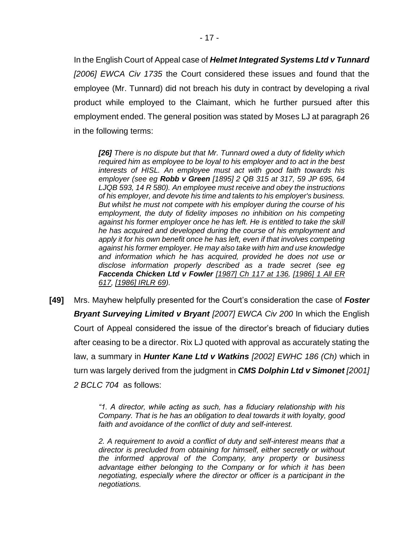In the English Court of Appeal case of *Helmet Integrated Systems Ltd v Tunnard [2006] EWCA Civ 1735* the Court considered these issues and found that the employee (Mr. Tunnard) did not breach his duty in contract by developing a rival product while employed to the Claimant, which he further pursued after this employment ended. The general position was stated by Moses LJ at paragraph 26 in the following terms:

*[26] There is no dispute but that Mr. Tunnard owed a duty of fidelity which required him as employee to be loyal to his employer and to act in the best interests of HISL. An employee must act with good faith towards his employer (see eg Robb v Green [\[1895\] 2 QB 315 at 317,](https://www.lexisnexis.com/uk/legal/citationlinkHandler.faces?bct=A&service=citation&risb=&QB&$sel1!%251895%25$year!%251895%25$sel2!%252%25$vol!%252%25$page!%25315%25$tpage!%25317%25) 59 JP 695, 64 LJQB 593, 14 R 580). An employee must receive and obey the instructions of his employer, and devote his time and talents to his employer's business. But whilst he must not compete with his employer during the course of his employment, the duty of fidelity imposes no inhibition on his competing against his former employer once he has left. He is entitled to take the skill he has acquired and developed during the course of his employment and*  apply it for his own benefit once he has left, even if that involves competing *against his former employer. He may also take with him and use knowledge and information which he has acquired, provided he does not use or disclose information properly described as a trade secret (see eg Faccenda Chicken Ltd v Fowler [\[1987\] Ch 117 at 136,](https://www.lexisnexis.com/uk/legal/citationlinkHandler.faces?bct=A&service=citation&risb=&CH&$sel1!%251987%25$year!%251987%25$page!%25117%25$tpage!%25136%25) [\[1986\] 1 All ER](https://www.lexisnexis.com/uk/legal/citationlinkHandler.faces?bct=A&service=citation&risb=&ALLER&$sel1!%251986%25$year!%251986%25$sel2!%251%25$vol!%251%25$page!%25617%25)  [617,](https://www.lexisnexis.com/uk/legal/citationlinkHandler.faces?bct=A&service=citation&risb=&ALLER&$sel1!%251986%25$year!%251986%25$sel2!%251%25$vol!%251%25$page!%25617%25) [\[1986\] IRLR 69\)](https://www.lexisnexis.com/uk/legal/citationlinkHandler.faces?bct=A&service=citation&risb=&IRLR&$sel1!%251986%25$year!%251986%25$page!%2569%25).*

**[49]** Mrs. Mayhew helpfully presented for the Court's consideration the case of *Foster Bryant Surveying Limited v Bryant [2007] EWCA Civ 200* In which the English Court of Appeal considered the issue of the director's breach of fiduciary duties after ceasing to be a director. Rix LJ quoted with approval as accurately stating the law, a summary in *Hunter Kane Ltd v Watkins [\[2002\] EWHC 186 \(Ch\)](https://www.lexisnexis.com/uk/legal/citationlinkHandler.faces?bct=A&service=citation&risb=&EWHCCH&$sel1!%252002%25$year!%252002%25$page!%25186%25)* which in turn was largely derived from the judgment in *CMS Dolphin Ltd v Simonet [\[2001\]](https://www.lexisnexis.com/uk/legal/citationlinkHandler.faces?bct=A&service=citation&risb=&BCLC&$sel1!%252001%25$year!%252001%25$sel2!%252%25$vol!%252%25$page!%25704%25)  [2 BCLC 704](https://www.lexisnexis.com/uk/legal/citationlinkHandler.faces?bct=A&service=citation&risb=&BCLC&$sel1!%252001%25$year!%252001%25$sel2!%252%25$vol!%252%25$page!%25704%25)* as follows:

> *"1. A director, while acting as such, has a fiduciary relationship with his Company. That is he has an obligation to deal towards it with loyalty, good faith and avoidance of the conflict of duty and self-interest.*

> *2. A requirement to avoid a conflict of duty and self-interest means that a director is precluded from obtaining for himself, either secretly or without the informed approval of the Company, any property or business advantage either belonging to the Company or for which it has been negotiating, especially where the director or officer is a participant in the negotiations.*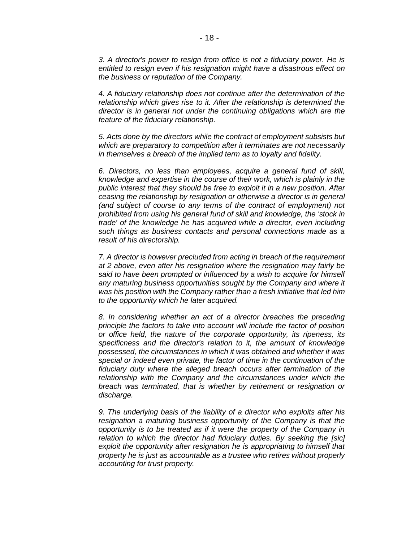*3. A director's power to resign from office is not a fiduciary power. He is entitled to resign even if his resignation might have a disastrous effect on the business or reputation of the Company.*

*4. A fiduciary relationship does not continue after the determination of the relationship which gives rise to it. After the relationship is determined the director is in general not under the continuing obligations which are the feature of the fiduciary relationship.*

*5. Acts done by the directors while the contract of employment subsists but which are preparatory to competition after it terminates are not necessarily in themselves a breach of the implied term as to loyalty and fidelity.*

*6. Directors, no less than employees, acquire a general fund of skill, knowledge and expertise in the course of their work, which is plainly in the public interest that they should be free to exploit it in a new position. After ceasing the relationship by resignation or otherwise a director is in general (and subject of course to any terms of the contract of employment) not prohibited from using his general fund of skill and knowledge, the 'stock in trade' of the knowledge he has acquired while a director, even including such things as business contacts and personal connections made as a result of his directorship.*

*7. A director is however precluded from acting in breach of the requirement at 2 above, even after his resignation where the resignation may fairly be said to have been prompted or influenced by a wish to acquire for himself any maturing business opportunities sought by the Company and where it was his position with the Company rather than a fresh initiative that led him to the opportunity which he later acquired.*

*8. In considering whether an act of a director breaches the preceding principle the factors to take into account will include the factor of position or office held, the nature of the corporate opportunity, its ripeness, its specificness and the director's relation to it, the amount of knowledge possessed, the circumstances in which it was obtained and whether it was special or indeed even private, the factor of time in the continuation of the fiduciary duty where the alleged breach occurs after termination of the relationship with the Company and the circumstances under which the breach was terminated, that is whether by retirement or resignation or discharge.*

*9. The underlying basis of the liability of a director who exploits after his resignation a maturing business opportunity of the Company is that the opportunity is to be treated as if it were the property of the Company in relation to which the director had fiduciary duties. By seeking the [sic] exploit the opportunity after resignation he is appropriating to himself that property he is just as accountable as a trustee who retires without properly accounting for trust property.*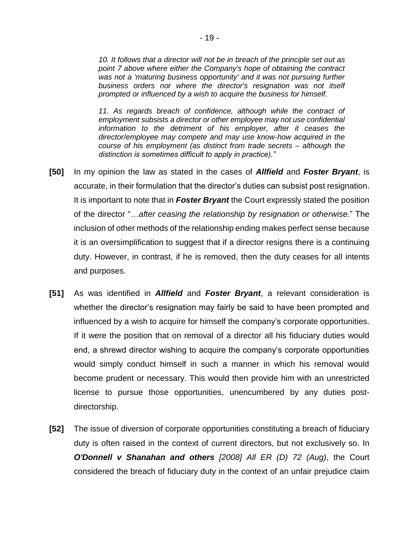*10. It follows that a director will not be in breach of the principle set out as point 7 above where either the Company's hope of obtaining the contract*  was not a 'maturing business opportunity' and it was not pursuing further *business orders nor where the director's resignation was not itself prompted or influenced by a wish to acquire the business for himself.*

*11. As regards breach of confidence, although while the contract of employment subsists a director or other employee may not use confidential information to the detriment of his employer, after it ceases the director/employee may compete and may use know-how acquired in the course of his employment (as distinct from trade secrets – although the distinction is sometimes difficult to apply in practice)."*

- **[50]** In my opinion the law as stated in the cases of *Allfield* and *Foster Bryant*, is accurate, in their formulation that the director's duties can subsist post resignation. It is important to note that in *Foster Bryant* the Court expressly stated the position of the director "…*after ceasing the relationship by resignation or otherwise*." The inclusion of other methods of the relationship ending makes perfect sense because it is an oversimplification to suggest that if a director resigns there is a continuing duty. However, in contrast, if he is removed, then the duty ceases for all intents and purposes.
- **[51]** As was identified in *Allfield* and *Foster Bryant*, a relevant consideration is whether the director's resignation may fairly be said to have been prompted and influenced by a wish to acquire for himself the company's corporate opportunities. If it were the position that on removal of a director all his fiduciary duties would end, a shrewd director wishing to acquire the company's corporate opportunities would simply conduct himself in such a manner in which his removal would become prudent or necessary. This would then provide him with an unrestricted license to pursue those opportunities, unencumbered by any duties postdirectorship.
- **[52]** The issue of diversion of corporate opportunities constituting a breach of fiduciary duty is often raised in the context of current directors, but not exclusively so. In *O'Donnell v Shanahan and others [2008] All ER (D) 72 (Aug)*, the Court considered the breach of fiduciary duty in the context of an unfair prejudice claim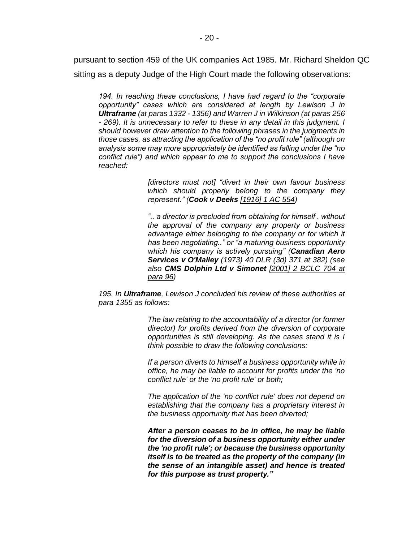pursuant to section 459 of the UK companies Act 1985. Mr. Richard Sheldon QC sitting as a deputy Judge of the High Court made the following observations:

*194. In reaching these conclusions, I have had regard to the "corporate opportunity" cases which are considered at length by Lewison J in Ultraframe (at paras 1332 - 1356) and Warren J in Wilkinson (at paras 256 - 269). It is unnecessary to refer to these in any detail in this judgment. I should however draw attention to the following phrases in the judgments in those cases, as attracting the application of the "no profit rule" (although on analysis some may more appropriately be identified as falling under the "no conflict rule") and which appear to me to support the conclusions I have reached:*

> *[directors must not] "divert in their own favour business which should properly belong to the company they represent." (Cook v Deeks [\[1916\] 1 AC 554\)](https://www.lexisnexis.com/uk/legal/citationlinkHandler.faces?bct=A&service=citation&risb=&AC&$sel1!%251916%25$year!%251916%25$sel2!%251%25$vol!%251%25$page!%25554%25)*

> *".. a director is precluded from obtaining for himself . without the approval of the company any property or business advantage either belonging to the company or for which it has been negotiating.." or "a maturing business opportunity which his company is actively pursuing" (Canadian Aero Services v O'Malley (1973) 40 DLR (3d) 371 at 382) (see also CMS Dolphin Ltd v Simonet [\[2001\] 2 BCLC 704 at](https://www.lexisnexis.com/uk/legal/citationlinkHandler.faces?bct=A&service=citation&risb=&BCLC&$sel1!%252001%25$year!%252001%25$sel2!%252%25$vol!%252%25$page!%25704%25)  [para 96\)](https://www.lexisnexis.com/uk/legal/citationlinkHandler.faces?bct=A&service=citation&risb=&BCLC&$sel1!%252001%25$year!%252001%25$sel2!%252%25$vol!%252%25$page!%25704%25)*

*195. In Ultraframe, Lewison J concluded his review of these authorities at para 1355 as follows:*

> *The law relating to the accountability of a director (or former director) for profits derived from the diversion of corporate opportunities is still developing. As the cases stand it is I think possible to draw the following conclusions:*

> *If a person diverts to himself a business opportunity while in office, he may be liable to account for profits under the 'no conflict rule' or the 'no profit rule' or both;*

> *The application of the 'no conflict rule' does not depend on establishing that the company has a proprietary interest in the business opportunity that has been diverted;*

> *After a person ceases to be in office, he may be liable for the diversion of a business opportunity either under the 'no profit rule'; or because the business opportunity itself is to be treated as the property of the company (in the sense of an intangible asset) and hence is treated for this purpose as trust property."*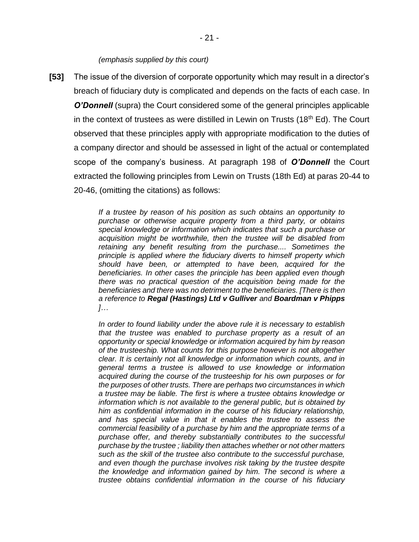#### *(emphasis supplied by this court)*

**[53]** The issue of the diversion of corporate opportunity which may result in a director's breach of fiduciary duty is complicated and depends on the facts of each case. In *O'Donnell* (supra) the Court considered some of the general principles applicable in the context of trustees as were distilled in Lewin on Trusts  $(18<sup>th</sup> Ed)$ . The Court observed that these principles apply with appropriate modification to the duties of a company director and should be assessed in light of the actual or contemplated scope of the company's business. At paragraph 198 of *O'Donnell* the Court extracted the following principles from Lewin on Trusts (18th Ed) at paras 20-44 to 20-46, (omitting the citations) as follows:

> *If a trustee by reason of his position as such obtains an opportunity to purchase or otherwise acquire property from a third party, or obtains special knowledge or information which indicates that such a purchase or acquisition might be worthwhile, then the trustee will be disabled from retaining any benefit resulting from the purchase.... Sometimes the principle is applied where the fiduciary diverts to himself property which should have been, or attempted to have been, acquired for the beneficiaries. In other cases the principle has been applied even though there was no practical question of the acquisition being made for the beneficiaries and there was no detriment to the beneficiaries. [There is then a reference to Regal (Hastings) Ltd v Gulliver and Boardman v Phipps ]…*

> *In order to found liability under the above rule it is necessary to establish that the trustee was enabled to purchase property as a result of an opportunity or special knowledge or information acquired by him by reason of the trusteeship. What counts for this purpose however is not altogether clear. It is certainly not all knowledge or information which counts, and in general terms a trustee is allowed to use knowledge or information acquired during the course of the trusteeship for his own purposes or for the purposes of other trusts. There are perhaps two circumstances in which a trustee may be liable. The first is where a trustee obtains knowledge or information which is not available to the general public, but is obtained by him as confidential information in the course of his fiduciary relationship, and has special value in that it enables the trustee to assess the commercial feasibility of a purchase by him and the appropriate terms of a purchase offer, and thereby substantially contributes to the successful purchase by the trustee ; liability then attaches whether or not other matters such as the skill of the trustee also contribute to the successful purchase, and even though the purchase involves risk taking by the trustee despite the knowledge and information gained by him. The second is where a trustee obtains confidential information in the course of his fiduciary*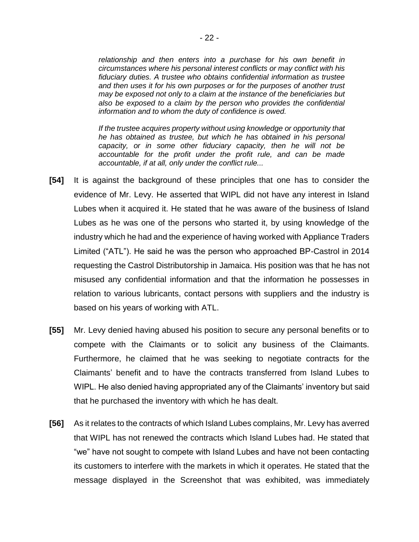*relationship and then enters into a purchase for his own benefit in circumstances where his personal interest conflicts or may conflict with his fiduciary duties. A trustee who obtains confidential information as trustee and then uses it for his own purposes or for the purposes of another trust may be exposed not only to a claim at the instance of the beneficiaries but also be exposed to a claim by the person who provides the confidential information and to whom the duty of confidence is owed.* 

*If the trustee acquires property without using knowledge or opportunity that he has obtained as trustee, but which he has obtained in his personal capacity, or in some other fiduciary capacity, then he will not be accountable for the profit under the profit rule, and can be made accountable, if at all, only under the conflict rule...*

- **[54]** It is against the background of these principles that one has to consider the evidence of Mr. Levy. He asserted that WIPL did not have any interest in Island Lubes when it acquired it. He stated that he was aware of the business of Island Lubes as he was one of the persons who started it, by using knowledge of the industry which he had and the experience of having worked with Appliance Traders Limited ("ATL"). He said he was the person who approached BP-Castrol in 2014 requesting the Castrol Distributorship in Jamaica. His position was that he has not misused any confidential information and that the information he possesses in relation to various lubricants, contact persons with suppliers and the industry is based on his years of working with ATL.
- **[55]** Mr. Levy denied having abused his position to secure any personal benefits or to compete with the Claimants or to solicit any business of the Claimants. Furthermore, he claimed that he was seeking to negotiate contracts for the Claimants' benefit and to have the contracts transferred from Island Lubes to WIPL. He also denied having appropriated any of the Claimants' inventory but said that he purchased the inventory with which he has dealt.
- **[56]** As it relates to the contracts of which Island Lubes complains, Mr. Levy has averred that WIPL has not renewed the contracts which Island Lubes had. He stated that "we" have not sought to compete with Island Lubes and have not been contacting its customers to interfere with the markets in which it operates. He stated that the message displayed in the Screenshot that was exhibited, was immediately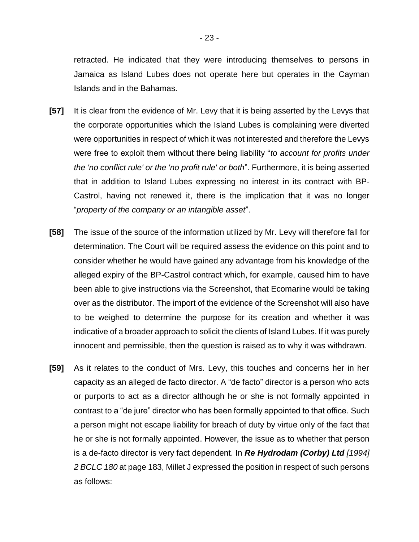retracted. He indicated that they were introducing themselves to persons in Jamaica as Island Lubes does not operate here but operates in the Cayman Islands and in the Bahamas.

- **[57]** It is clear from the evidence of Mr. Levy that it is being asserted by the Levys that the corporate opportunities which the Island Lubes is complaining were diverted were opportunities in respect of which it was not interested and therefore the Levys were free to exploit them without there being liability "*to account for profits under the 'no conflict rule' or the 'no profit rule' or both*". Furthermore, it is being asserted that in addition to Island Lubes expressing no interest in its contract with BP-Castrol, having not renewed it, there is the implication that it was no longer "*property of the company or an intangible asset*".
- **[58]** The issue of the source of the information utilized by Mr. Levy will therefore fall for determination. The Court will be required assess the evidence on this point and to consider whether he would have gained any advantage from his knowledge of the alleged expiry of the BP-Castrol contract which, for example, caused him to have been able to give instructions via the Screenshot, that Ecomarine would be taking over as the distributor. The import of the evidence of the Screenshot will also have to be weighed to determine the purpose for its creation and whether it was indicative of a broader approach to solicit the clients of Island Lubes. If it was purely innocent and permissible, then the question is raised as to why it was withdrawn.
- **[59]** As it relates to the conduct of Mrs. Levy, this touches and concerns her in her capacity as an alleged de facto director. A "de facto" director is a person who acts or purports to act as a director although he or she is not formally appointed in contrast to a "de jure" director who has been formally appointed to that office. Such a person might not escape liability for breach of duty by virtue only of the fact that he or she is not formally appointed. However, the issue as to whether that person is a de-facto director is very fact dependent. In *Re Hydrodam (Corby) Ltd [1994] 2 BCLC 180* at page 183, Millet J expressed the position in respect of such persons as follows: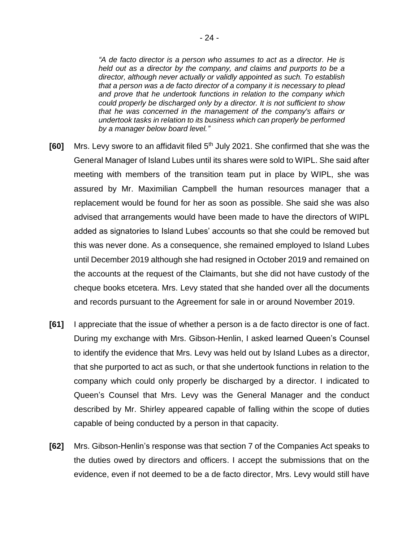*"A de facto director is a person who assumes to act as a director. He is held out as a director by the company, and claims and purports to be a director, although never actually or validly appointed as such. To establish that a person was a de facto director of a company it is necessary to plead and prove that he undertook functions in relation to the company which could properly be discharged only by a director. It is not sufficient to show that he was concerned in the management of the company's affairs or undertook tasks in relation to its business which can properly be performed by a manager below board level."*

- **[60]** Mrs. Levy swore to an affidavit filed 5<sup>th</sup> July 2021. She confirmed that she was the General Manager of Island Lubes until its shares were sold to WIPL. She said after meeting with members of the transition team put in place by WIPL, she was assured by Mr. Maximilian Campbell the human resources manager that a replacement would be found for her as soon as possible. She said she was also advised that arrangements would have been made to have the directors of WIPL added as signatories to Island Lubes' accounts so that she could be removed but this was never done. As a consequence, she remained employed to Island Lubes until December 2019 although she had resigned in October 2019 and remained on the accounts at the request of the Claimants, but she did not have custody of the cheque books etcetera. Mrs. Levy stated that she handed over all the documents and records pursuant to the Agreement for sale in or around November 2019.
- **[61]** I appreciate that the issue of whether a person is a de facto director is one of fact. During my exchange with Mrs. Gibson-Henlin, I asked learned Queen's Counsel to identify the evidence that Mrs. Levy was held out by Island Lubes as a director, that she purported to act as such, or that she undertook functions in relation to the company which could only properly be discharged by a director. I indicated to Queen's Counsel that Mrs. Levy was the General Manager and the conduct described by Mr. Shirley appeared capable of falling within the scope of duties capable of being conducted by a person in that capacity.
- **[62]** Mrs. Gibson-Henlin's response was that section 7 of the Companies Act speaks to the duties owed by directors and officers. I accept the submissions that on the evidence, even if not deemed to be a de facto director, Mrs. Levy would still have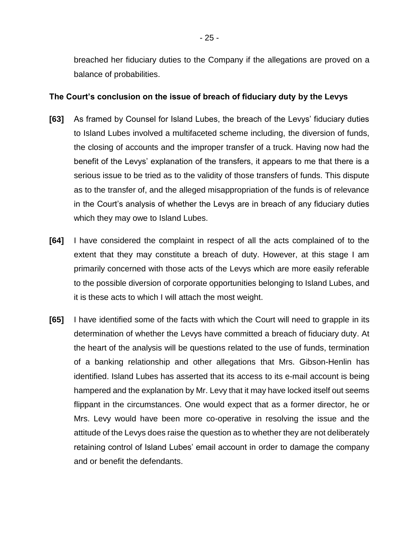breached her fiduciary duties to the Company if the allegations are proved on a balance of probabilities.

## **The Court's conclusion on the issue of breach of fiduciary duty by the Levys**

- **[63]** As framed by Counsel for Island Lubes, the breach of the Levys' fiduciary duties to Island Lubes involved a multifaceted scheme including, the diversion of funds, the closing of accounts and the improper transfer of a truck. Having now had the benefit of the Levys' explanation of the transfers, it appears to me that there is a serious issue to be tried as to the validity of those transfers of funds. This dispute as to the transfer of, and the alleged misappropriation of the funds is of relevance in the Court's analysis of whether the Levys are in breach of any fiduciary duties which they may owe to Island Lubes.
- **[64]** I have considered the complaint in respect of all the acts complained of to the extent that they may constitute a breach of duty. However, at this stage I am primarily concerned with those acts of the Levys which are more easily referable to the possible diversion of corporate opportunities belonging to Island Lubes, and it is these acts to which I will attach the most weight.
- **[65]** I have identified some of the facts with which the Court will need to grapple in its determination of whether the Levys have committed a breach of fiduciary duty. At the heart of the analysis will be questions related to the use of funds, termination of a banking relationship and other allegations that Mrs. Gibson-Henlin has identified. Island Lubes has asserted that its access to its e-mail account is being hampered and the explanation by Mr. Levy that it may have locked itself out seems flippant in the circumstances. One would expect that as a former director, he or Mrs. Levy would have been more co-operative in resolving the issue and the attitude of the Levys does raise the question as to whether they are not deliberately retaining control of Island Lubes' email account in order to damage the company and or benefit the defendants.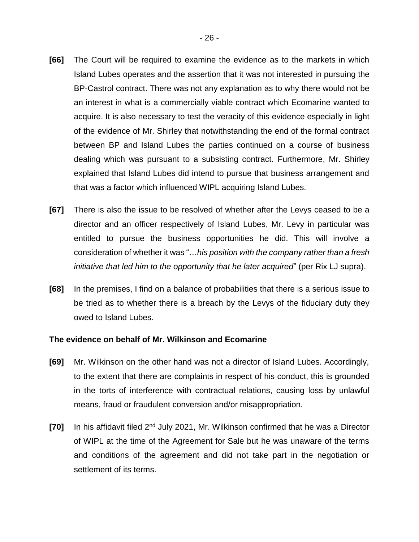- **[66]** The Court will be required to examine the evidence as to the markets in which Island Lubes operates and the assertion that it was not interested in pursuing the BP-Castrol contract. There was not any explanation as to why there would not be an interest in what is a commercially viable contract which Ecomarine wanted to acquire. It is also necessary to test the veracity of this evidence especially in light of the evidence of Mr. Shirley that notwithstanding the end of the formal contract between BP and Island Lubes the parties continued on a course of business dealing which was pursuant to a subsisting contract. Furthermore, Mr. Shirley explained that Island Lubes did intend to pursue that business arrangement and
- **[67]** There is also the issue to be resolved of whether after the Levys ceased to be a director and an officer respectively of Island Lubes, Mr. Levy in particular was entitled to pursue the business opportunities he did. This will involve a consideration of whether it was "…*his position with the company rather than a fresh initiative that led him to the opportunity that he later acquired*" (per Rix LJ supra).

that was a factor which influenced WIPL acquiring Island Lubes.

**[68]** In the premises, I find on a balance of probabilities that there is a serious issue to be tried as to whether there is a breach by the Levys of the fiduciary duty they owed to Island Lubes.

## **The evidence on behalf of Mr. Wilkinson and Ecomarine**

- **[69]** Mr. Wilkinson on the other hand was not a director of Island Lubes. Accordingly, to the extent that there are complaints in respect of his conduct, this is grounded in the torts of interference with contractual relations, causing loss by unlawful means, fraud or fraudulent conversion and/or misappropriation.
- **[70]** In his affidavit filed 2nd July 2021, Mr. Wilkinson confirmed that he was a Director of WIPL at the time of the Agreement for Sale but he was unaware of the terms and conditions of the agreement and did not take part in the negotiation or settlement of its terms.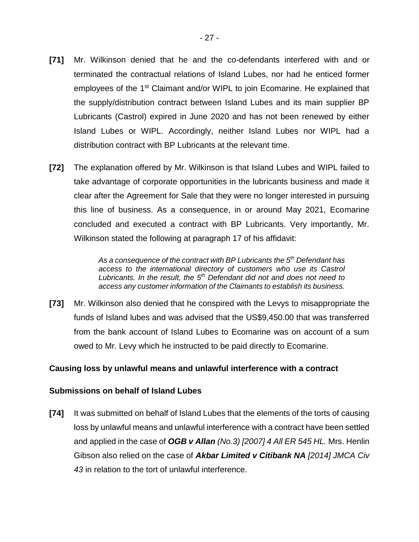- **[71]** Mr. Wilkinson denied that he and the co-defendants interfered with and or terminated the contractual relations of Island Lubes, nor had he enticed former employees of the 1<sup>st</sup> Claimant and/or WIPL to join Ecomarine. He explained that the supply/distribution contract between Island Lubes and its main supplier BP Lubricants (Castrol) expired in June 2020 and has not been renewed by either Island Lubes or WIPL. Accordingly, neither Island Lubes nor WIPL had a distribution contract with BP Lubricants at the relevant time.
- **[72]** The explanation offered by Mr. Wilkinson is that Island Lubes and WIPL failed to take advantage of corporate opportunities in the lubricants business and made it clear after the Agreement for Sale that they were no longer interested in pursuing this line of business. As a consequence, in or around May 2021, Ecomarine concluded and executed a contract with BP Lubricants. Very importantly, Mr. Wilkinson stated the following at paragraph 17 of his affidavit:

*As a consequence of the contract with BP Lubricants the 5th Defendant has access to the international directory of customers who use its Castrol Lubricants. In the result, the 5th Defendant did not and does not need to access any customer information of the Claimants to establish its business.*

**[73]** Mr. Wilkinson also denied that he conspired with the Levys to misappropriate the funds of Island lubes and was advised that the US\$9,450.00 that was transferred from the bank account of Island Lubes to Ecomarine was on account of a sum owed to Mr. Levy which he instructed to be paid directly to Ecomarine.

# **Causing loss by unlawful means and unlawful interference with a contract**

## **Submissions on behalf of Island Lubes**

**[74]** It was submitted on behalf of Island Lubes that the elements of the torts of causing loss by unlawful means and unlawful interference with a contract have been settled and applied in the case of *OGB v Allan (No.3) [2007] 4 All ER 545 HL.* Mrs. Henlin Gibson also relied on the case of *Akbar Limited v Citibank NA [2014] JMCA Civ 43* in relation to the tort of unlawful interference.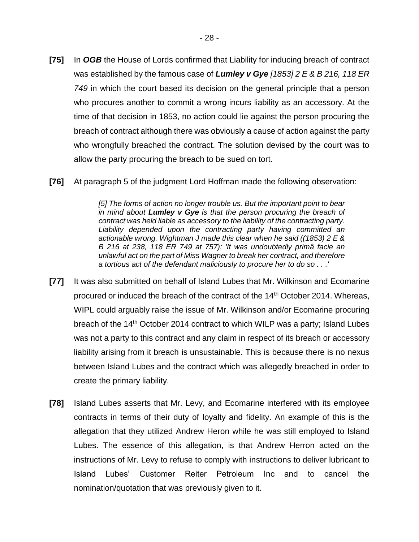- **[75]** In *OGB* the House of Lords confirmed that Liability for inducing breach of contract was established by the famous case of *Lumley v Gye [1853] 2 E & B 216, 118 ER 749* in which the court based its decision on the general principle that a person who procures another to commit a wrong incurs liability as an accessory. At the time of that decision in 1853, no action could lie against the person procuring the breach of contract although there was obviously a cause of action against the party who wrongfully breached the contract. The solution devised by the court was to allow the party procuring the breach to be sued on tort.
- **[76]** At paragraph 5 of the judgment Lord Hoffman made the following observation:

*[5] The forms of action no longer trouble us. But the important point to bear in mind about Lumley v Gye is that the person procuring the breach of contract was held liable as accessory to the liability of the contracting party. Liability depended upon the contracting party having committed an actionable wrong. Wightman J made this clear when he said ((1853) 2 E & B 216 at 238, 118 ER 749 at 757): 'It was undoubtedly primâ facie an unlawful act on the part of Miss Wagner to break her contract, and therefore a tortious act of the defendant maliciously to procure her to do so . . .'*

- **[77]** It was also submitted on behalf of Island Lubes that Mr. Wilkinson and Ecomarine procured or induced the breach of the contract of the 14<sup>th</sup> October 2014. Whereas, WIPL could arguably raise the issue of Mr. Wilkinson and/or Ecomarine procuring breach of the 14<sup>th</sup> October 2014 contract to which WILP was a party; Island Lubes was not a party to this contract and any claim in respect of its breach or accessory liability arising from it breach is unsustainable. This is because there is no nexus between Island Lubes and the contract which was allegedly breached in order to create the primary liability.
- **[78]** Island Lubes asserts that Mr. Levy, and Ecomarine interfered with its employee contracts in terms of their duty of loyalty and fidelity. An example of this is the allegation that they utilized Andrew Heron while he was still employed to Island Lubes. The essence of this allegation, is that Andrew Herron acted on the instructions of Mr. Levy to refuse to comply with instructions to deliver lubricant to Island Lubes' Customer Reiter Petroleum Inc and to cancel the nomination/quotation that was previously given to it.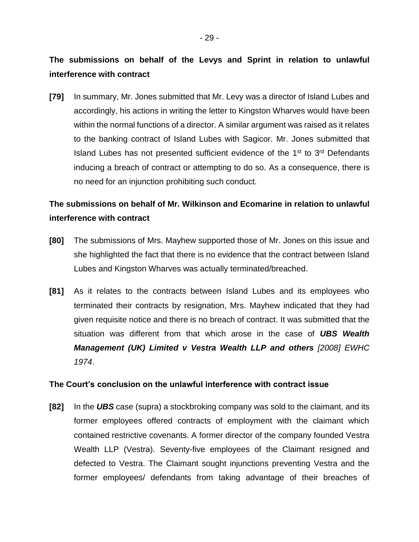# **The submissions on behalf of the Levys and Sprint in relation to unlawful interference with contract**

**[79]** In summary, Mr. Jones submitted that Mr. Levy was a director of Island Lubes and accordingly, his actions in writing the letter to Kingston Wharves would have been within the normal functions of a director. A similar argument was raised as it relates to the banking contract of Island Lubes with Sagicor. Mr. Jones submitted that Island Lubes has not presented sufficient evidence of the  $1<sup>st</sup>$  to  $3<sup>rd</sup>$  Defendants inducing a breach of contract or attempting to do so. As a consequence, there is no need for an injunction prohibiting such conduct.

# **The submissions on behalf of Mr. Wilkinson and Ecomarine in relation to unlawful interference with contract**

- **[80]** The submissions of Mrs. Mayhew supported those of Mr. Jones on this issue and she highlighted the fact that there is no evidence that the contract between Island Lubes and Kingston Wharves was actually terminated/breached.
- **[81]** As it relates to the contracts between Island Lubes and its employees who terminated their contracts by resignation, Mrs. Mayhew indicated that they had given requisite notice and there is no breach of contract. It was submitted that the situation was different from that which arose in the case of *UBS Wealth Management (UK) Limited v Vestra Wealth LLP and others [2008] EWHC 1974*.

## **The Court's conclusion on the unlawful interference with contract issue**

**[82]** In the *UBS* case (supra) a stockbroking company was sold to the claimant, and its former employees offered contracts of employment with the claimant which contained restrictive covenants. A former director of the company founded Vestra Wealth LLP (Vestra). Seventy-five employees of the Claimant resigned and defected to Vestra. The Claimant sought injunctions preventing Vestra and the former employees/ defendants from taking advantage of their breaches of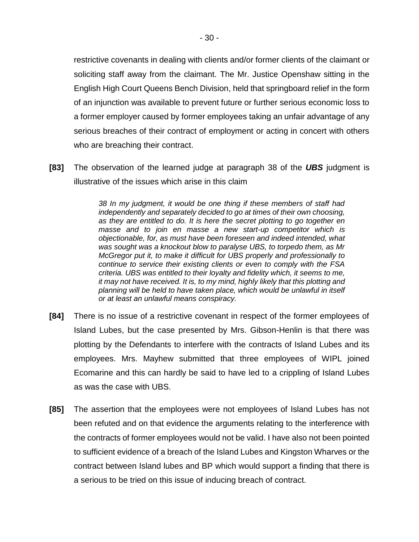restrictive covenants in dealing with clients and/or former clients of the claimant or soliciting staff away from the claimant. The Mr. Justice Openshaw sitting in the English High Court Queens Bench Division, held that springboard relief in the form of an injunction was available to prevent future or further serious economic loss to a former employer caused by former employees taking an unfair advantage of any serious breaches of their contract of employment or acting in concert with others who are breaching their contract.

**[83]** The observation of the learned judge at paragraph 38 of the *UBS* judgment is illustrative of the issues which arise in this claim

> *38 In my judgment, it would be one thing if these members of staff had independently and separately decided to go at times of their own choosing, as they are entitled to do. It is here the secret plotting to go together en masse and to join en masse a new start-up competitor which is objectionable, for, as must have been foreseen and indeed intended, what was sought was a knockout blow to paralyse UBS, to torpedo them, as Mr McGregor put it, to make it difficult for UBS properly and professionally to continue to service their existing clients or even to comply with the FSA criteria. UBS was entitled to their loyalty and fidelity which, it seems to me, it may not have received. It is, to my mind, highly likely that this plotting and planning will be held to have taken place, which would be unlawful in itself or at least an unlawful means conspiracy.*

- **[84]** There is no issue of a restrictive covenant in respect of the former employees of Island Lubes, but the case presented by Mrs. Gibson-Henlin is that there was plotting by the Defendants to interfere with the contracts of Island Lubes and its employees. Mrs. Mayhew submitted that three employees of WIPL joined Ecomarine and this can hardly be said to have led to a crippling of Island Lubes as was the case with UBS.
- **[85]** The assertion that the employees were not employees of Island Lubes has not been refuted and on that evidence the arguments relating to the interference with the contracts of former employees would not be valid. I have also not been pointed to sufficient evidence of a breach of the Island Lubes and Kingston Wharves or the contract between Island lubes and BP which would support a finding that there is a serious to be tried on this issue of inducing breach of contract.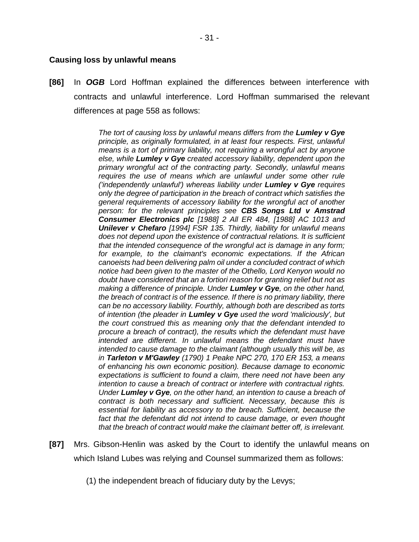## **Causing loss by unlawful means**

**[86]** In *OGB* Lord Hoffman explained the differences between interference with contracts and unlawful interference. Lord Hoffman summarised the relevant differences at page 558 as follows:

> *The tort of causing loss by unlawful means differs from the Lumley v Gye principle, as originally formulated, in at least four respects. First, unlawful means is a tort of primary liability, not requiring a wrongful act by anyone else, while Lumley v Gye created accessory liability, dependent upon the primary wrongful act of the contracting party. Secondly, unlawful means requires the use of means which are unlawful under some other rule ('independently unlawful') whereas liability under Lumley v Gye requires only the degree of participation in the breach of contract which satisfies the general requirements of accessory liability for the wrongful act of another person: for the relevant principles see CBS Songs Ltd v Amstrad Consumer Electronics plc [1988] 2 All ER 484, [\[1988\] AC 1013 a](https://www.lexisnexis.com/uk/legal/citationlinkHandler.faces?bct=A&service=citation&risb=&AC&$sel1!%251988%25$year!%251988%25$page!%251013%25)nd Unilever v Chefaro [1994] FSR 135. Thirdly, liability for unlawful means does not depend upon the existence of contractual relations. It is sufficient that the intended consequence of the wrongful act is damage in any form; for example, to the claimant's economic expectations. If the African canoeists had been delivering palm oil under a concluded contract of which notice had been given to the master of the Othello, Lord Kenyon would no doubt have considered that an a fortiori reason for granting relief but not as making a difference of principle. Under Lumley v Gye, on the other hand, the breach of contract is of the essence. If there is no primary liability, there can be no accessory liability. Fourthly, although both are described as torts of intention (the pleader in Lumley v Gye used the word 'maliciously', but the court construed this as meaning only that the defendant intended to procure a breach of contract), the results which the defendant must have intended are different. In unlawful means the defendant must have intended to cause damage to the claimant (although usually this will be, as in Tarleton v M'Gawley (1790) 1 Peake NPC 270, 170 ER 153, a means of enhancing his own economic position). Because damage to economic expectations is sufficient to found a claim, there need not have been any intention to cause a breach of contract or interfere with contractual rights. Under Lumley v Gye, on the other hand, an intention to cause a breach of contract is both necessary and sufficient. Necessary, because this is essential for liability as accessory to the breach. Sufficient, because the fact that the defendant did not intend to cause damage, or even thought that the breach of contract would make the claimant better off, is irrelevant.*

- **[87]** Mrs. Gibson-Henlin was asked by the Court to identify the unlawful means on which Island Lubes was relying and Counsel summarized them as follows:
	- (1) the independent breach of fiduciary duty by the Levys;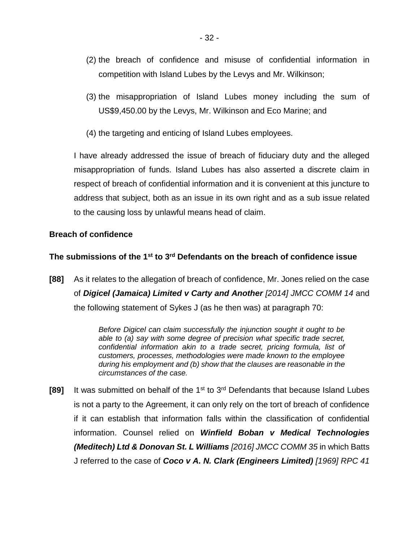- (2) the breach of confidence and misuse of confidential information in competition with Island Lubes by the Levys and Mr. Wilkinson;
- (3) the misappropriation of Island Lubes money including the sum of US\$9,450.00 by the Levys, Mr. Wilkinson and Eco Marine; and
- (4) the targeting and enticing of Island Lubes employees.

I have already addressed the issue of breach of fiduciary duty and the alleged misappropriation of funds. Island Lubes has also asserted a discrete claim in respect of breach of confidential information and it is convenient at this juncture to address that subject, both as an issue in its own right and as a sub issue related to the causing loss by unlawful means head of claim.

# **Breach of confidence**

# **The submissions of the 1st to 3rd Defendants on the breach of confidence issue**

**[88]** As it relates to the allegation of breach of confidence, Mr. Jones relied on the case of *Digicel (Jamaica) Limited v Carty and Another [2014] JMCC COMM 14* and the following statement of Sykes J (as he then was) at paragraph 70:

> *Before Digicel can claim successfully the injunction sought it ought to be able to (a) say with some degree of precision what specific trade secret, confidential information akin to a trade secret, pricing formula, list of customers, processes, methodologies were made known to the employee during his employment and (b) show that the clauses are reasonable in the circumstances of the case.*

**[89]** It was submitted on behalf of the 1st to 3rd Defendants that because Island Lubes is not a party to the Agreement, it can only rely on the tort of breach of confidence if it can establish that information falls within the classification of confidential information. Counsel relied on *Winfield Boban v Medical Technologies (Meditech) Ltd & Donovan St. L Williams [2016] JMCC COMM 35* in which Batts J referred to the case of *Coco v A. N. Clark (Engineers Limited) [1969] RPC 41*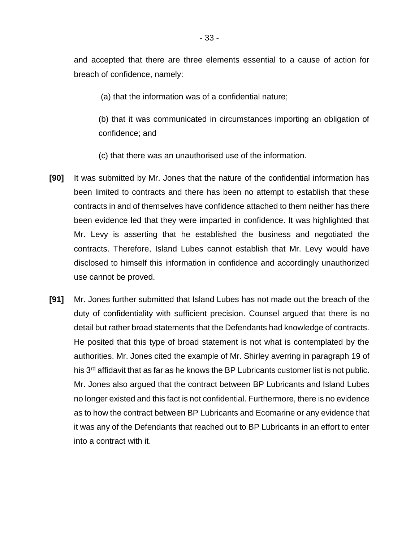and accepted that there are three elements essential to a cause of action for breach of confidence, namely:

(a) that the information was of a confidential nature;

(b) that it was communicated in circumstances importing an obligation of confidence; and

- (c) that there was an unauthorised use of the information.
- **[90]** It was submitted by Mr. Jones that the nature of the confidential information has been limited to contracts and there has been no attempt to establish that these contracts in and of themselves have confidence attached to them neither has there been evidence led that they were imparted in confidence. It was highlighted that Mr. Levy is asserting that he established the business and negotiated the contracts. Therefore, Island Lubes cannot establish that Mr. Levy would have disclosed to himself this information in confidence and accordingly unauthorized use cannot be proved.
- **[91]** Mr. Jones further submitted that Island Lubes has not made out the breach of the duty of confidentiality with sufficient precision. Counsel argued that there is no detail but rather broad statements that the Defendants had knowledge of contracts. He posited that this type of broad statement is not what is contemplated by the authorities. Mr. Jones cited the example of Mr. Shirley averring in paragraph 19 of his  $3<sup>rd</sup>$  affidavit that as far as he knows the BP Lubricants customer list is not public. Mr. Jones also argued that the contract between BP Lubricants and Island Lubes no longer existed and this fact is not confidential. Furthermore, there is no evidence as to how the contract between BP Lubricants and Ecomarine or any evidence that it was any of the Defendants that reached out to BP Lubricants in an effort to enter into a contract with it.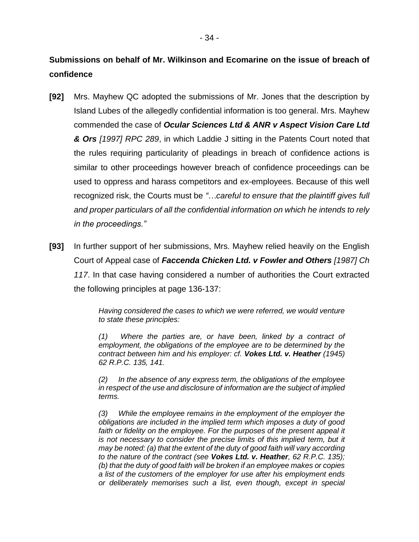# **Submissions on behalf of Mr. Wilkinson and Ecomarine on the issue of breach of confidence**

- **[92]** Mrs. Mayhew QC adopted the submissions of Mr. Jones that the description by Island Lubes of the allegedly confidential information is too general. Mrs. Mayhew commended the case of *Ocular Sciences Ltd & ANR v Aspect Vision Care Ltd & Ors [1997] RPC 289*, in which Laddie J sitting in the Patents Court noted that the rules requiring particularity of pleadings in breach of confidence actions is similar to other proceedings however breach of confidence proceedings can be used to oppress and harass competitors and ex-employees. Because of this well recognized risk, the Courts must be *"…careful to ensure that the plaintiff gives full and proper particulars of all the confidential information on which he intends to rely in the proceedings."*
- **[93]** In further support of her submissions, Mrs. Mayhew relied heavily on the English Court of Appeal case of *Faccenda Chicken Ltd. v Fowler and Others [1987] Ch 117*. In that case having considered a number of authorities the Court extracted the following principles at page 136-137:

*Having considered the cases to which we were referred, we would venture to state these principles:*

*(1) Where the parties are, or have been, linked by a contract of employment, the obligations of the employee are to be determined by the contract between him and his employer: cf. Vokes Ltd. v. Heather (1945) 62 R.P.C. 135, 141.*

*(2) In the absence of any express term, the obligations of the employee in respect of the use and disclosure of information are the subject of implied terms.*

*(3) While the employee remains in the employment of the employer the obligations are included in the implied term which imposes a duty of good*  faith or fidelity on the employee. For the purposes of the present appeal it *is not necessary to consider the precise limits of this implied term, but it may be noted: (a) that the extent of the duty of good faith will vary according to the nature of the contract (see Vokes Ltd. v. Heather, 62 R.P.C. 135); (b) that the duty of good faith will be broken if an employee makes or copies a list of the customers of the employer for use after his employment ends or deliberately memorises such a list, even though, except in special*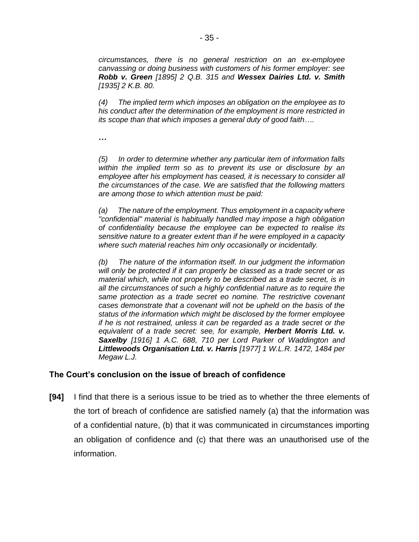*circumstances, there is no general restriction on an ex-employee canvassing or doing business with customers of his former employer: see Robb v. Green [\[1895\] 2 Q.B. 315](https://www.lexisnexis.com/uk/legal/citationlinkHandler.faces?bct=A&service=citation&risb=&QB&$sel1!%251895%25$year!%251895%25$sel2!%252%25$vol!%252%25$page!%25315%25) and Wessex Dairies Ltd. v. Smith [\[1935\] 2 K.B. 80.](https://www.lexisnexis.com/uk/legal/citationlinkHandler.faces?bct=A&service=citation&risb=&KB&$sel1!%251935%25$year!%251935%25$sel2!%252%25$vol!%252%25$page!%2580%25)*

*(4) The implied term which imposes an obligation on the employee as to his conduct after the determination of the employment is more restricted in its scope than that which imposes a general duty of good faith….*

**…**

*(5) In order to determine whether any particular item of information falls within the implied term so as to prevent its use or disclosure by an employee after his employment has ceased, it is necessary to consider all the circumstances of the case. We are satisfied that the following matters are among those to which attention must be paid:*

*(a) The nature of the employment. Thus employment in a capacity where "confidential" material is habitually handled may impose a high obligation of confidentiality because the employee can be expected to realise its sensitive nature to a greater extent than if he were employed in a capacity where such material reaches him only occasionally or incidentally.*

*(b) The nature of the information itself. In our judgment the information will only be protected if it can properly be classed as a trade secret or as material which, while not properly to be described as a trade secret, is in all the circumstances of such a highly confidential nature as to require the same protection as a trade secret eo nomine. The restrictive covenant cases demonstrate that a covenant will not be upheld on the basis of the status of the information which might be disclosed by the former employee if he is not restrained, unless it can be regarded as a trade secret or the equivalent of a trade secret: see, for example, Herbert Morris Ltd. v. Saxelby [\[1916\] 1 A.C. 688,](https://www.lexisnexis.com/uk/legal/citationlinkHandler.faces?bct=A&service=citation&risb=&AC&$sel1!%251916%25$year!%251916%25$sel2!%251%25$vol!%251%25$page!%25688%25) 710 per Lord Parker of Waddington and Littlewoods Organisation Ltd. v. Harris [1977] 1 W.L.R. 1472, 1484 per Megaw L.J.*

## **The Court's conclusion on the issue of breach of confidence**

**[94]** I find that there is a serious issue to be tried as to whether the three elements of the tort of breach of confidence are satisfied namely (a) that the information was of a confidential nature, (b) that it was communicated in circumstances importing an obligation of confidence and (c) that there was an unauthorised use of the information.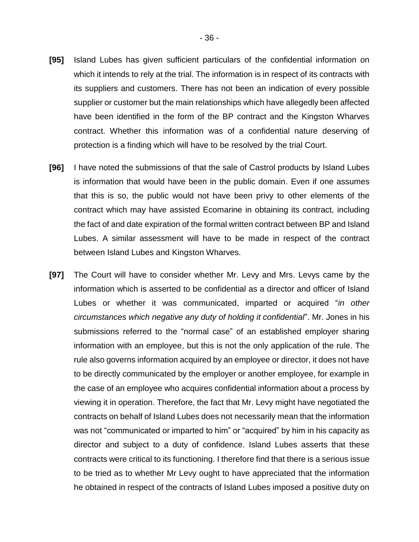- **[95]** Island Lubes has given sufficient particulars of the confidential information on which it intends to rely at the trial. The information is in respect of its contracts with its suppliers and customers. There has not been an indication of every possible supplier or customer but the main relationships which have allegedly been affected have been identified in the form of the BP contract and the Kingston Wharves contract. Whether this information was of a confidential nature deserving of protection is a finding which will have to be resolved by the trial Court.
- **[96]** I have noted the submissions of that the sale of Castrol products by Island Lubes is information that would have been in the public domain. Even if one assumes that this is so, the public would not have been privy to other elements of the contract which may have assisted Ecomarine in obtaining its contract, including the fact of and date expiration of the formal written contract between BP and Island Lubes. A similar assessment will have to be made in respect of the contract between Island Lubes and Kingston Wharves.
- **[97]** The Court will have to consider whether Mr. Levy and Mrs. Levys came by the information which is asserted to be confidential as a director and officer of Island Lubes or whether it was communicated, imparted or acquired "*in other circumstances which negative any duty of holding it confidential*". Mr. Jones in his submissions referred to the "normal case" of an established employer sharing information with an employee, but this is not the only application of the rule. The rule also governs information acquired by an employee or director, it does not have to be directly communicated by the employer or another employee, for example in the case of an employee who acquires confidential information about a process by viewing it in operation. Therefore, the fact that Mr. Levy might have negotiated the contracts on behalf of Island Lubes does not necessarily mean that the information was not "communicated or imparted to him" or "acquired" by him in his capacity as director and subject to a duty of confidence. Island Lubes asserts that these contracts were critical to its functioning. I therefore find that there is a serious issue to be tried as to whether Mr Levy ought to have appreciated that the information he obtained in respect of the contracts of Island Lubes imposed a positive duty on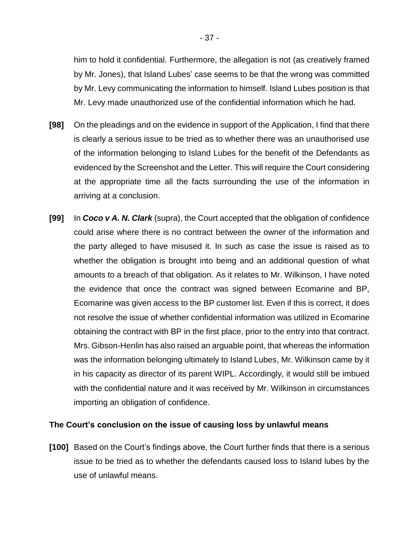him to hold it confidential. Furthermore, the allegation is not (as creatively framed by Mr. Jones), that Island Lubes' case seems to be that the wrong was committed by Mr. Levy communicating the information to himself. Island Lubes position is that Mr. Levy made unauthorized use of the confidential information which he had.

- **[98]** On the pleadings and on the evidence in support of the Application, I find that there is clearly a serious issue to be tried as to whether there was an unauthorised use of the information belonging to Island Lubes for the benefit of the Defendants as evidenced by the Screenshot and the Letter. This will require the Court considering at the appropriate time all the facts surrounding the use of the information in arriving at a conclusion.
- **[99]** In *Coco v A. N. Clark* (supra), the Court accepted that the obligation of confidence could arise where there is no contract between the owner of the information and the party alleged to have misused it. In such as case the issue is raised as to whether the obligation is brought into being and an additional question of what amounts to a breach of that obligation. As it relates to Mr. Wilkinson, I have noted the evidence that once the contract was signed between Ecomarine and BP, Ecomarine was given access to the BP customer list. Even if this is correct, it does not resolve the issue of whether confidential information was utilized in Ecomarine obtaining the contract with BP in the first place, prior to the entry into that contract. Mrs. Gibson-Henlin has also raised an arguable point, that whereas the information was the information belonging ultimately to Island Lubes, Mr. Wilkinson came by it in his capacity as director of its parent WIPL. Accordingly, it would still be imbued with the confidential nature and it was received by Mr. Wilkinson in circumstances importing an obligation of confidence.

## **The Court's conclusion on the issue of causing loss by unlawful means**

**[100]** Based on the Court's findings above, the Court further finds that there is a serious issue to be tried as to whether the defendants caused loss to Island lubes by the use of unlawful means.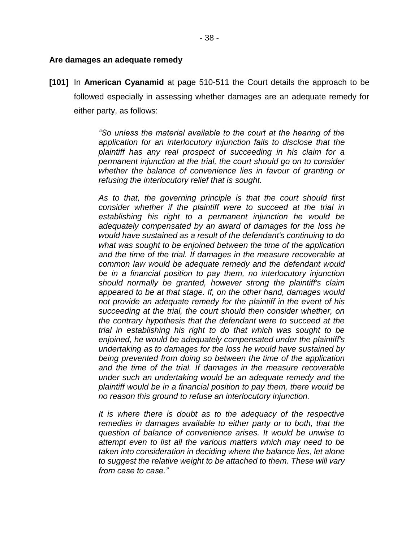**[101]** In **American Cyanamid** at page 510-511 the Court details the approach to be followed especially in assessing whether damages are an adequate remedy for either party, as follows:

> *"So unless the material available to the court at the hearing of the application for an interlocutory injunction fails to disclose that the plaintiff has any real prospect of succeeding in his claim for a permanent injunction at the trial, the court should go on to consider whether the balance of convenience lies in favour of granting or refusing the interlocutory relief that is sought.*

> *As to that, the governing principle is that the court should first consider whether if the plaintiff were to succeed at the trial in establishing his right to a permanent injunction he would be adequately compensated by an award of damages for the loss he would have sustained as a result of the defendant's continuing to do what was sought to be enjoined between the time of the application and the time of the trial. If damages in the measure recoverable at common law would be adequate remedy and the defendant would be in a financial position to pay them, no interlocutory injunction should normally be granted, however strong the plaintiff's claim appeared to be at that stage. If, on the other hand, damages would not provide an adequate remedy for the plaintiff in the event of his succeeding at the trial, the court should then consider whether, on the contrary hypothesis that the defendant were to succeed at the trial in establishing his right to do that which was sought to be enjoined, he would be adequately compensated under the plaintiff's undertaking as to damages for the loss he would have sustained by being prevented from doing so between the time of the application and the time of the trial. If damages in the measure recoverable under such an undertaking would be an adequate remedy and the plaintiff would be in a financial position to pay them, there would be no reason this ground to refuse an interlocutory injunction.*

> *It is where there is doubt as to the adequacy of the respective remedies in damages available to either party or to both, that the question of balance of convenience arises. It would be unwise to attempt even to list all the various matters which may need to be taken into consideration in deciding where the balance lies, let alone to suggest the relative weight to be attached to them. These will vary from case to case."*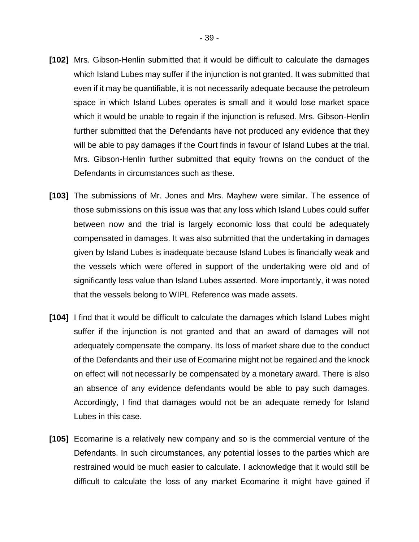- **[102]** Mrs. Gibson-Henlin submitted that it would be difficult to calculate the damages which Island Lubes may suffer if the injunction is not granted. It was submitted that even if it may be quantifiable, it is not necessarily adequate because the petroleum space in which Island Lubes operates is small and it would lose market space which it would be unable to regain if the injunction is refused. Mrs. Gibson-Henlin further submitted that the Defendants have not produced any evidence that they will be able to pay damages if the Court finds in favour of Island Lubes at the trial. Mrs. Gibson-Henlin further submitted that equity frowns on the conduct of the Defendants in circumstances such as these.
- **[103]** The submissions of Mr. Jones and Mrs. Mayhew were similar. The essence of those submissions on this issue was that any loss which Island Lubes could suffer between now and the trial is largely economic loss that could be adequately compensated in damages. It was also submitted that the undertaking in damages given by Island Lubes is inadequate because Island Lubes is financially weak and the vessels which were offered in support of the undertaking were old and of significantly less value than Island Lubes asserted. More importantly, it was noted that the vessels belong to WIPL Reference was made assets.
- **[104]** I find that it would be difficult to calculate the damages which Island Lubes might suffer if the injunction is not granted and that an award of damages will not adequately compensate the company. Its loss of market share due to the conduct of the Defendants and their use of Ecomarine might not be regained and the knock on effect will not necessarily be compensated by a monetary award. There is also an absence of any evidence defendants would be able to pay such damages. Accordingly, I find that damages would not be an adequate remedy for Island Lubes in this case.
- **[105]** Ecomarine is a relatively new company and so is the commercial venture of the Defendants. In such circumstances, any potential losses to the parties which are restrained would be much easier to calculate. I acknowledge that it would still be difficult to calculate the loss of any market Ecomarine it might have gained if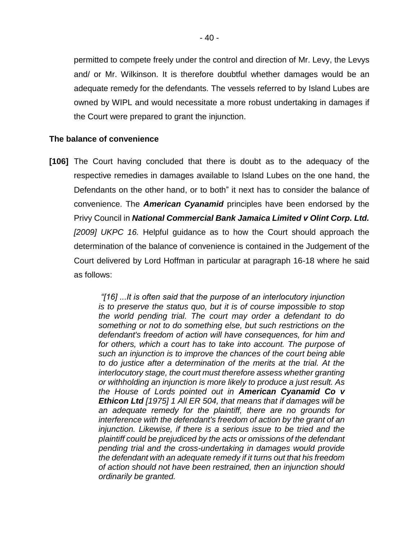permitted to compete freely under the control and direction of Mr. Levy, the Levys and/ or Mr. Wilkinson. It is therefore doubtful whether damages would be an adequate remedy for the defendants. The vessels referred to by Island Lubes are owned by WIPL and would necessitate a more robust undertaking in damages if the Court were prepared to grant the injunction.

## **The balance of convenience**

**[106]** The Court having concluded that there is doubt as to the adequacy of the respective remedies in damages available to Island Lubes on the one hand, the Defendants on the other hand, or to both" it next has to consider the balance of convenience. The *American Cyanamid* principles have been endorsed by the Privy Council in *National Commercial Bank Jamaica Limited v Olint Corp. Ltd. [2009] UKPC 16.* Helpful guidance as to how the Court should approach the determination of the balance of convenience is contained in the Judgement of the Court delivered by Lord Hoffman in particular at paragraph 16-18 where he said as follows:

> *"[16] ...It is often said that the purpose of an interlocutory injunction is to preserve the status quo, but it is of course impossible to stop the world pending trial. The court may order a defendant to do something or not to do something else, but such restrictions on the defendant's freedom of action will have consequences, for him and for others, which a court has to take into account. The purpose of such an injunction is to improve the chances of the court being able to do justice after a determination of the merits at the trial. At the interlocutory stage, the court must therefore assess whether granting or withholding an injunction is more likely to produce a just result. As the House of Lords pointed out in American Cyanamid Co v Ethicon Ltd [1975] 1 All ER 504, that means that if damages will be an adequate remedy for the plaintiff, there are no grounds for interference with the defendant's freedom of action by the grant of an injunction. Likewise, if there is a serious issue to be tried and the plaintiff could be prejudiced by the acts or omissions of the defendant pending trial and the cross-undertaking in damages would provide the defendant with an adequate remedy if it turns out that his freedom of action should not have been restrained, then an injunction should ordinarily be granted.*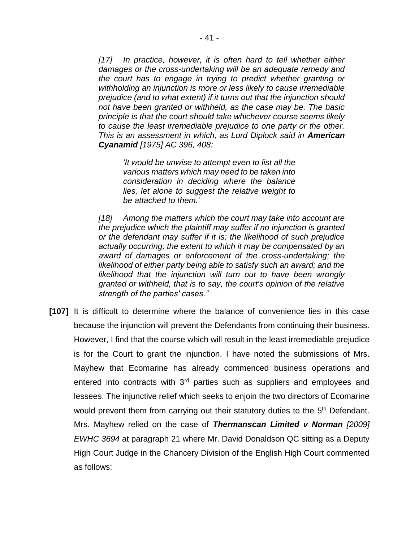*[17] In practice, however, it is often hard to tell whether either damages or the cross-undertaking will be an adequate remedy and the court has to engage in trying to predict whether granting or withholding an injunction is more or less likely to cause irremediable prejudice (and to what extent) if it turns out that the injunction should not have been granted or withheld, as the case may be. The basic principle is that the court should take whichever course seems likely to cause the least irremediable prejudice to one party or the other. This is an assessment in which, as Lord Diplock said in American Cyanamid [1975] AC 396, 408:* 

> *'It would be unwise to attempt even to list all the various matters which may need to be taken into consideration in deciding where the balance lies, let alone to suggest the relative weight to be attached to them.'*

*[18] Among the matters which the court may take into account are the prejudice which the plaintiff may suffer if no injunction is granted or the defendant may suffer if it is; the likelihood of such prejudice actually occurring; the extent to which it may be compensated by an award of damages or enforcement of the cross-undertaking; the likelihood of either party being able to satisfy such an award; and the likelihood that the injunction will turn out to have been wrongly granted or withheld, that is to say, the court's opinion of the relative strength of the parties' cases."*

**[107]** It is difficult to determine where the balance of convenience lies in this case because the injunction will prevent the Defendants from continuing their business. However, I find that the course which will result in the least irremediable prejudice is for the Court to grant the injunction. I have noted the submissions of Mrs. Mayhew that Ecomarine has already commenced business operations and entered into contracts with 3<sup>rd</sup> parties such as suppliers and employees and lessees. The injunctive relief which seeks to enjoin the two directors of Ecomarine would prevent them from carrying out their statutory duties to the 5<sup>th</sup> Defendant. Mrs. Mayhew relied on the case of *Thermanscan Limited v Norman [2009] EWHC 3694* at paragraph 21 where Mr. David Donaldson QC sitting as a Deputy High Court Judge in the Chancery Division of the English High Court commented as follows: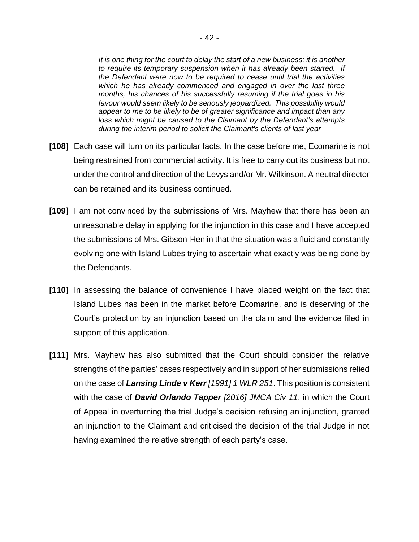*It is one thing for the court to delay the start of a new business; it is another*  to require its temporary suspension when it has already been started. If *the Defendant were now to be required to cease until trial the activities which he has already commenced and engaged in over the last three months, his chances of his successfully resuming if the trial goes in his favour would seem likely to be seriously jeopardized. This possibility would appear to me to be likely to be of greater significance and impact than any loss which might be caused to the Claimant by the Defendant's attempts during the interim period to solicit the Claimant's clients of last year*

- **[108]** Each case will turn on its particular facts. In the case before me, Ecomarine is not being restrained from commercial activity. It is free to carry out its business but not under the control and direction of the Levys and/or Mr. Wilkinson. A neutral director can be retained and its business continued.
- **[109]** I am not convinced by the submissions of Mrs. Mayhew that there has been an unreasonable delay in applying for the injunction in this case and I have accepted the submissions of Mrs. Gibson-Henlin that the situation was a fluid and constantly evolving one with Island Lubes trying to ascertain what exactly was being done by the Defendants.
- **[110]** In assessing the balance of convenience I have placed weight on the fact that Island Lubes has been in the market before Ecomarine, and is deserving of the Court's protection by an injunction based on the claim and the evidence filed in support of this application.
- **[111]** Mrs. Mayhew has also submitted that the Court should consider the relative strengths of the parties' cases respectively and in support of her submissions relied on the case of *Lansing Linde v Kerr [1991] 1 WLR 251*. This position is consistent with the case of *David Orlando Tapper [2016] JMCA Civ 11*, in which the Court of Appeal in overturning the trial Judge's decision refusing an injunction, granted an injunction to the Claimant and criticised the decision of the trial Judge in not having examined the relative strength of each party's case.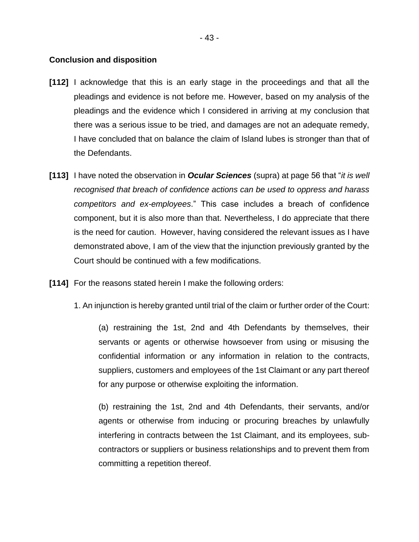## **Conclusion and disposition**

- **[112]** I acknowledge that this is an early stage in the proceedings and that all the pleadings and evidence is not before me. However, based on my analysis of the pleadings and the evidence which I considered in arriving at my conclusion that there was a serious issue to be tried, and damages are not an adequate remedy, I have concluded that on balance the claim of Island lubes is stronger than that of the Defendants.
- **[113]** I have noted the observation in *Ocular Sciences* (supra) at page 56 that "*it is well recognised that breach of confidence actions can be used to oppress and harass competitors and ex-employees*." This case includes a breach of confidence component, but it is also more than that. Nevertheless, I do appreciate that there is the need for caution. However, having considered the relevant issues as I have demonstrated above, I am of the view that the injunction previously granted by the Court should be continued with a few modifications.
- **[114]** For the reasons stated herein I make the following orders:
	- 1. An injunction is hereby granted until trial of the claim or further order of the Court:

(a) restraining the 1st, 2nd and 4th Defendants by themselves, their servants or agents or otherwise howsoever from using or misusing the confidential information or any information in relation to the contracts, suppliers, customers and employees of the 1st Claimant or any part thereof for any purpose or otherwise exploiting the information.

(b) restraining the 1st, 2nd and 4th Defendants, their servants, and/or agents or otherwise from inducing or procuring breaches by unlawfully interfering in contracts between the 1st Claimant, and its employees, subcontractors or suppliers or business relationships and to prevent them from committing a repetition thereof.